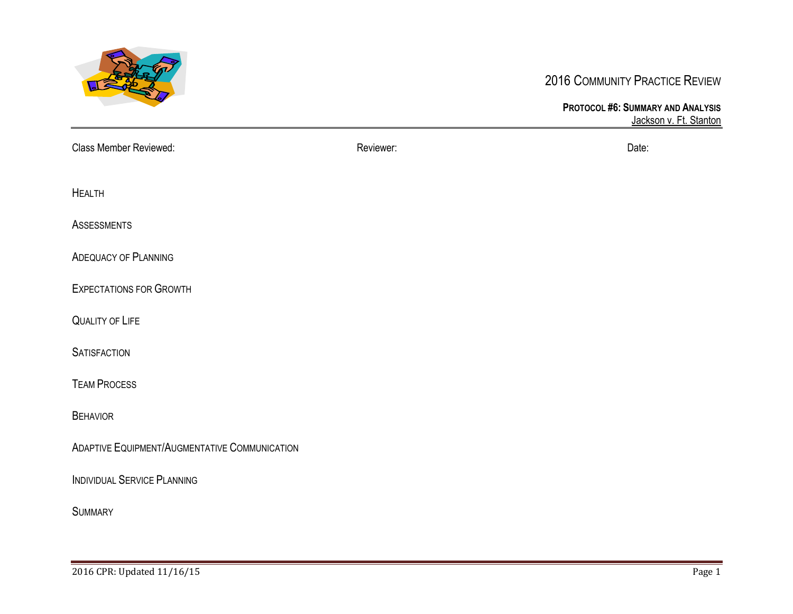

## 2016 COMMUNITY PRACTICE REVIEW

**PROTOCOL #6: SUMMARY AND ANALYSIS** Jackson v. Ft. Stanton

| <b>Class Member Reviewed:</b>                 | Reviewer: | Date: |
|-----------------------------------------------|-----------|-------|
| <b>HEALTH</b>                                 |           |       |
| <b>ASSESSMENTS</b>                            |           |       |
| <b>ADEQUACY OF PLANNING</b>                   |           |       |
| <b>EXPECTATIONS FOR GROWTH</b>                |           |       |
| <b>QUALITY OF LIFE</b>                        |           |       |
| <b>SATISFACTION</b>                           |           |       |
| <b>TEAM PROCESS</b>                           |           |       |
| <b>BEHAVIOR</b>                               |           |       |
| ADAPTIVE EQUIPMENT/AUGMENTATIVE COMMUNICATION |           |       |
| <b>INDIVIDUAL SERVICE PLANNING</b>            |           |       |
| <b>SUMMARY</b>                                |           |       |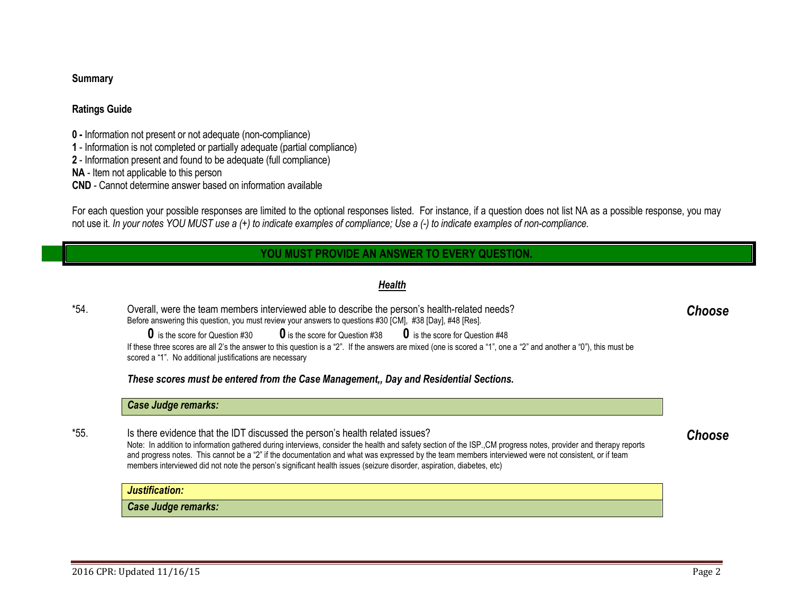## **Summary**

## **Ratings Guide**

**0 -** Information not present or not adequate (non-compliance)

**1** - Information is not completed or partially adequate (partial compliance)

**2** - Information present and found to be adequate (full compliance)

**NA** - Item not applicable to this person

**CND** - Cannot determine answer based on information available

For each question your possible responses are limited to the optional responses listed. For instance, if a question does not list NA as a possible response, you may not use it. *In your notes YOU MUST use a (+) to indicate examples of compliance; Use a (-) to indicate examples of non-compliance.*

## **YOU MUST PROVIDE AN ANSWER TO EVERY QUESTION.**

## <span id="page-1-0"></span>*Health*

\*54. Overall, were the team members interviewed able to describe the person's health-related needs? Before answering this question, you must review your answers to questions #30 [CM], #38 [Day], #48 [Res].

> **0** is the score for Question #30 **0** is the score for Question #38 **0** is the score for Question #48 If these three scores are all 2's the answer to this question is a "2". If the answers are mixed (one is scored a "1", one a "2" and another a "0"), this must be scored a "1". No additional justifications are necessary

*These scores must be entered from the Case Management,, Day and Residential Sections.*

## *Case Judge remarks:*

\*55. Is there evidence that the IDT discussed the person's health related issues? Note: In addition to information gathered during interviews, consider the health and safety section of the ISP.,CM progress notes, provider and therapy reports and progress notes. This cannot be a "2" if the documentation and what was expressed by the team members interviewed were not consistent, or if team members interviewed did not note the person's significant health issues (seizure disorder, aspiration, diabetes, etc)

*Justification:*

*Case Judge remarks:*

<span id="page-1-2"></span><span id="page-1-1"></span>*Choose*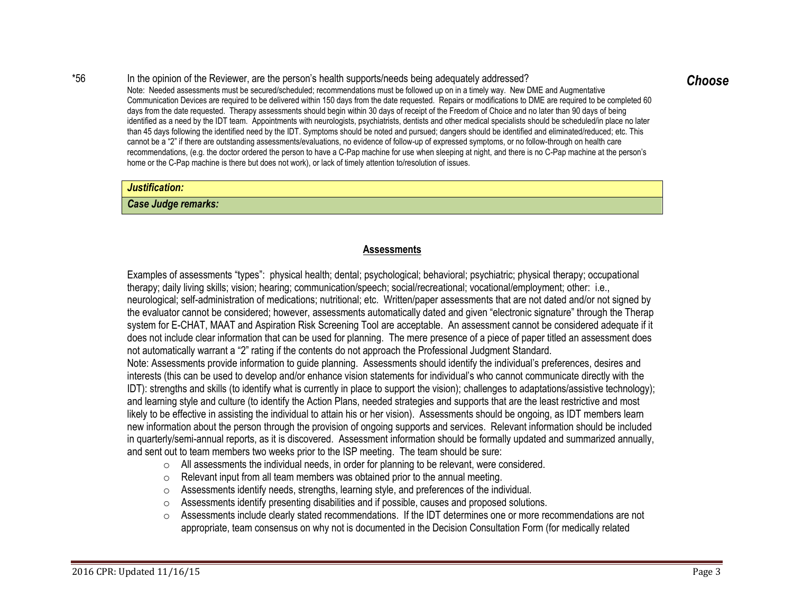## \*56 In the opinion of the Reviewer, are the person's health supports/needs being adequately addressed?

Note: Needed assessments must be secured/scheduled; recommendations must be followed up on in a timely way. New DME and Augmentative Communication Devices are required to be delivered within 150 days from the date requested. Repairs or modifications to DME are required to be completed 60 days from the date requested. Therapy assessments should begin within 30 days of receipt of the Freedom of Choice and no later than 90 days of being identified as a need by the IDT team. Appointments with neurologists, psychiatrists, dentists and other medical specialists should be scheduled/in place no later than 45 days following the identified need by the IDT. Symptoms should be noted and pursued; dangers should be identified and eliminated/reduced; etc. This cannot be a "2" if there are outstanding assessments/evaluations, no evidence of follow-up of expressed symptoms, or no follow-through on health care recommendations, (e.g. the doctor ordered the person to have a C-Pap machine for use when sleeping at night, and there is no C-Pap machine at the person's home or the C-Pap machine is there but does not work), or lack of timely attention to/resolution of issues.

#### *Justification:*

<span id="page-2-0"></span>*Case Judge remarks:*

## <span id="page-2-1"></span>**Assessments**

Examples of assessments "types": physical health; dental; psychological; behavioral; psychiatric; physical therapy; occupational therapy; daily living skills; vision; hearing; communication/speech; social/recreational; vocational/employment; other: i.e., neurological; self-administration of medications; nutritional; etc. Written/paper assessments that are not dated and/or not signed by the evaluator cannot be considered; however, assessments automatically dated and given "electronic signature" through the Therap system for E-CHAT, MAAT and Aspiration Risk Screening Tool are acceptable. An assessment cannot be considered adequate if it does not include clear information that can be used for planning. The mere presence of a piece of paper titled an assessment does not automatically warrant a "2" rating if the contents do not approach the Professional Judgment Standard. Note: Assessments provide information to guide planning. Assessments should identify the individual's preferences, desires and interests (this can be used to develop and/or enhance vision statements for individual's who cannot communicate directly with the IDT): strengths and skills (to identify what is currently in place to support the vision); challenges to adaptations/assistive technology); and learning style and culture (to identify the Action Plans, needed strategies and supports that are the least restrictive and most likely to be effective in assisting the individual to attain his or her vision). Assessments should be ongoing, as IDT members learn new information about the person through the provision of ongoing supports and services. Relevant information should be included

in quarterly/semi-annual reports, as it is discovered. Assessment information should be formally updated and summarized annually, and sent out to team members two weeks prior to the ISP meeting. The team should be sure:

- $\circ$  All assessments the individual needs, in order for planning to be relevant, were considered.
- o Relevant input from all team members was obtained prior to the annual meeting.
- o Assessments identify needs, strengths, learning style, and preferences of the individual.
- $\circ$  Assessments identify presenting disabilities and if possible, causes and proposed solutions.
- $\circ$  Assessments include clearly stated recommendations. If the IDT determines one or more recommendations are not appropriate, team consensus on why not is documented in the Decision Consultation Form (for medically related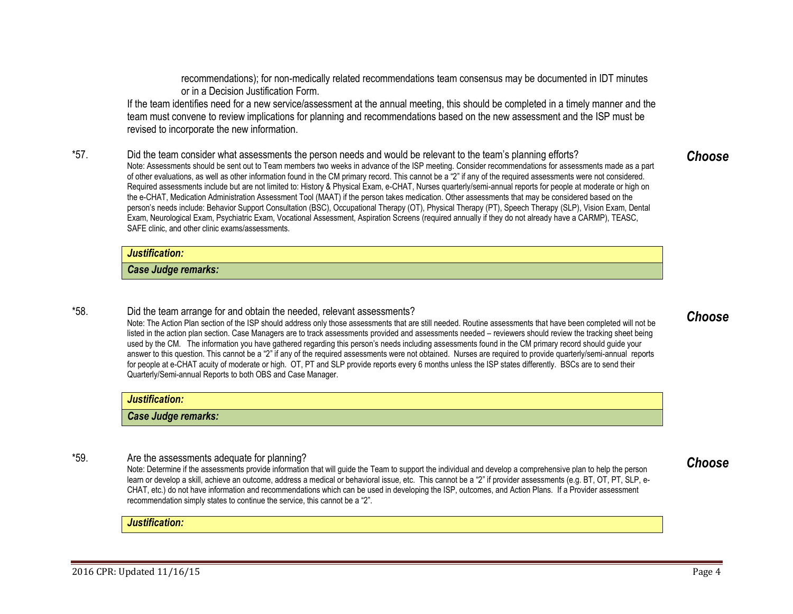recommendations); for non-medically related recommendations team consensus may be documented in IDT minutes or in a Decision Justification Form.

If the team identifies need for a new service/assessment at the annual meeting, this should be completed in a timely manner and the team must convene to review implications for planning and recommendations based on the new assessment and the ISP must be revised to incorporate the new information.

\*57. Did the team consider what assessments the person needs and would be relevant to the team's planning efforts?

Note: Assessments should be sent out to Team members two weeks in advance of the ISP meeting. Consider recommendations for assessments made as a part of other evaluations, as well as other information found in the CM primary record. This cannot be a "2" if any of the required assessments were not considered. Required assessments include but are not limited to: History & Physical Exam, e-CHAT, Nurses quarterly/semi-annual reports for people at moderate or high on the e-CHAT, Medication Administration Assessment Tool (MAAT) if the person takes medication. Other assessments that may be considered based on the person's needs include: Behavior Support Consultation (BSC), Occupational Therapy (OT), Physical Therapy (PT), Speech Therapy (SLP), Vision Exam, Dental Exam, Neurological Exam, Psychiatric Exam, Vocational Assessment, Aspiration Screens (required annually if they do not already have a CARMP), TEASC, SAFE clinic, and other clinic exams/assessments.

#### *Justification:*

*Case Judge remarks:*

#### \*58. Did the team arrange for and obtain the needed, relevant assessments?

Note: The Action Plan section of the ISP should address only those assessments that are still needed. Routine assessments that have been completed will not be listed in the action plan section. Case Managers are to track assessments provided and assessments needed – reviewers should review the tracking sheet being used by the CM. The information you have gathered regarding this person's needs including assessments found in the CM primary record should guide your answer to this question. This cannot be a "2" if any of the required assessments were not obtained. Nurses are required to provide quarterly/semi-annual reports for people at e-CHAT acuity of moderate or high. OT, PT and SLP provide reports every 6 months unless the ISP states differently. BSCs are to send their Quarterly/Semi-annual Reports to both OBS and Case Manager.

## *Justification: Case Judge remarks:*

## \*59. Are the assessments adequate for planning?

Note: Determine if the assessments provide information that will guide the Team to support the individual and develop a comprehensive plan to help the person learn or develop a skill, achieve an outcome, address a medical or behavioral issue, etc. This cannot be a "2" if provider assessments (e.g. BT, OT, PT, SLP, e-CHAT, etc.) do not have information and recommendations which can be used in developing the ISP, outcomes, and Action Plans. If a Provider assessment recommendation simply states to continue the service, this cannot be a "2".

### *Justification:*

# <span id="page-3-2"></span><span id="page-3-1"></span>*Choose*

<span id="page-3-0"></span>*Choose*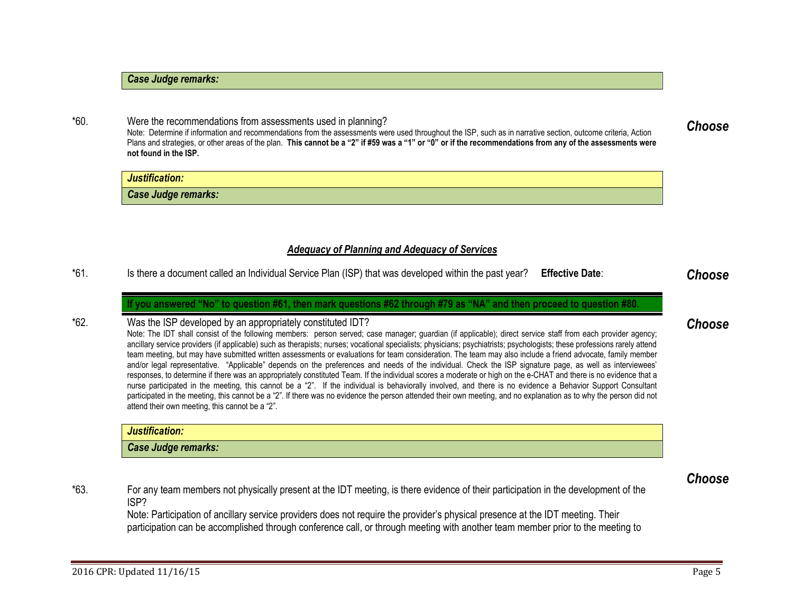## *Case Judge remarks:*

## \*60. Were the recommendations from assessments used in planning?

Note: Determine if information and recommendations from the assessments were used throughout the ISP, such as in narrative section, outcome criteria, Action Plans and strategies, or other areas of the plan. **This cannot be a "2" if #59 was a "1" or "0" or if the recommendations from any of the assessments were not found in the ISP.**

| Justification:      |  |
|---------------------|--|
| Case Judge remarks: |  |

### *Adequacy of Planning and Adequacy of Services*

\*61. Is there a document called an Individual Service Plan (ISP) that was developed within the past year? **Effective Date**: *Choose*

**If you answered "No" to question #61, then mark questions #62 through #79 as "NA" and then proceed to question #80.** 

## \*62. Was the ISP developed by an appropriately constituted IDT?

Note: The IDT shall consist of the following members: person served; case manager; guardian (if applicable); direct service staff from each provider agency; ancillary service providers (if applicable) such as therapists; nurses; vocational specialists; physicians; psychiatrists; psychologists; these professions rarely attend team meeting, but may have submitted written assessments or evaluations for team consideration. The team may also include a friend advocate, family member and/or legal representative. "Applicable" depends on the preferences and needs of the individual. Check the ISP signature page, as well as interviewees' responses, to determine if there was an appropriately constituted Team. If the individual scores a moderate or high on the e-CHAT and there is no evidence that a nurse participated in the meeting, this cannot be a "2". If the individual is behaviorally involved, and there is no evidence a Behavior Support Consultant participated in the meeting, this cannot be a "2". If there was no evidence the person attended their own meeting, and no explanation as to why the person did not attend their own meeting, this cannot be a "2".

| Justification:      |  |
|---------------------|--|
| Case Judge remarks: |  |

\*63. For any team members not physically present at the IDT meeting, is there evidence of their participation in the development of the ISP?

Note: Participation of ancillary service providers does not require the provider's physical presence at the IDT meeting. Their participation can be accomplished through conference call, or through meeting with another team member prior to the meeting to <span id="page-4-4"></span>*Choose*

<span id="page-4-1"></span><span id="page-4-0"></span>

## <span id="page-4-3"></span><span id="page-4-2"></span>*Choose*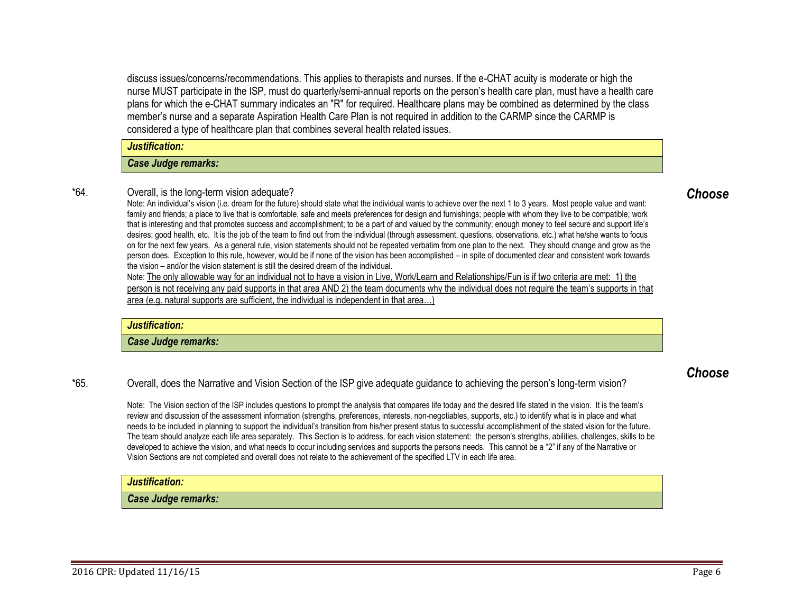discuss issues/concerns/recommendations. This applies to therapists and nurses. If the e-CHAT acuity is moderate or high the nurse MUST participate in the ISP, must do quarterly/semi-annual reports on the person's health care plan, must have a health care plans for which the e-CHAT summary indicates an "R" for required. Healthcare plans may be combined as determined by the class member's nurse and a separate Aspiration Health Care Plan is not required in addition to the CARMP since the CARMP is considered a type of healthcare plan that combines several health related issues.

*Justification:*

*Case Judge remarks:*

## \*64. Overall, is the long-term vision adequate?

Note: An individual's vision (i.e. dream for the future) should state what the individual wants to achieve over the next 1 to 3 years. Most people value and want: family and friends; a place to live that is comfortable, safe and meets preferences for design and furnishings; people with whom they live to be compatible; work that is interesting and that promotes success and accomplishment; to be a part of and valued by the community; enough money to feel secure and support life's desires; good health, etc. It is the job of the team to find out from the individual (through assessment, questions, observations, etc.) what he/she wants to focus on for the next few years. As a general rule, vision statements should not be repeated verbatim from one plan to the next. They should change and grow as the person does. Exception to this rule, however, would be if none of the vision has been accomplished – in spite of documented clear and consistent work towards the vision – and/or the vision statement is still the desired dream of the individual.

Note: The only allowable way for an individual not to have a vision in Live, Work/Learn and Relationships/Fun is if two criteria are met: 1) the person is not receiving any paid supports in that area AND 2) the team documents why the individual does not require the team's supports in that area (e.g. natural supports are sufficient, the individual is independent in that area…)

#### *Justification:*

*Case Judge remarks:*

## \*65. Overall, does the Narrative and Vision Section of the ISP give adequate guidance to achieving the person's long-term vision?

Note: The Vision section of the ISP includes questions to prompt the analysis that compares life today and the desired life stated in the vision. It is the team's review and discussion of the assessment information (strengths, preferences, interests, non-negotiables, supports, etc.) to identify what is in place and what needs to be included in planning to support the individual's transition from his/her present status to successful accomplishment of the stated vision for the future. The team should analyze each life area separately. This Section is to address, for each vision statement: the person's strengths, abilities, challenges, skills to be developed to achieve the vision, and what needs to occur including services and supports the persons needs. This cannot be a "2" if any of the Narrative or Vision Sections are not completed and overall does not relate to the achievement of the specified LTV in each life area.

## *Justification:*

*Case Judge remarks:*

## <span id="page-5-1"></span><span id="page-5-0"></span>*Choose*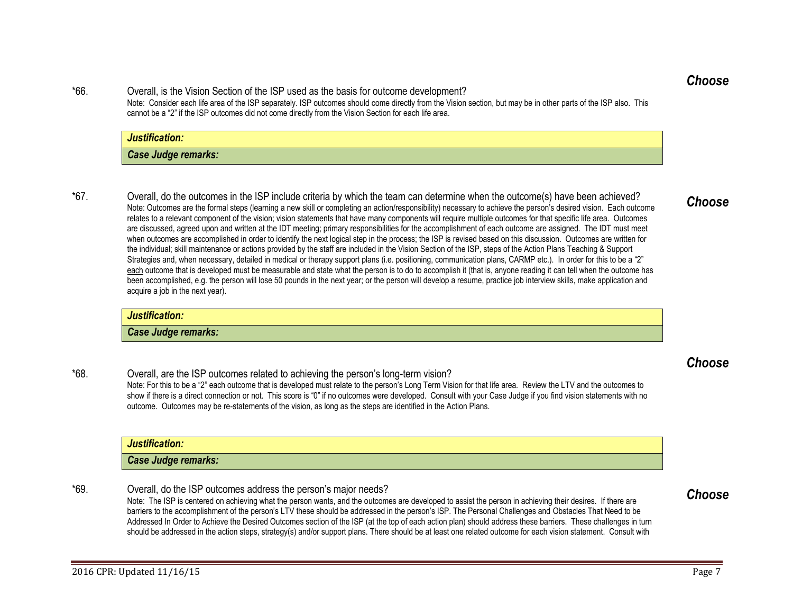<span id="page-6-0"></span>*Choose*

\*66. Overall, is the Vision Section of the ISP used as the basis for outcome development? Note: Consider each life area of the ISP separately. ISP outcomes should come directly from the Vision section, but may be in other parts of the ISP also. This cannot be a "2" if the ISP outcomes did not come directly from the Vision Section for each life area.

## *Case Judge remarks:*

*Justification:*

\*67. Overall, do the outcomes in the ISP include criteria by which the team can determine when the outcome(s) have been achieved? Note: Outcomes are the formal steps (learning a new skill or completing an action/responsibility) necessary to achieve the person's desired vision. Each outcome relates to a relevant component of the vision; vision statements that have many components will require multiple outcomes for that specific life area. Outcomes are discussed, agreed upon and written at the IDT meeting; primary responsibilities for the accomplishment of each outcome are assigned. The IDT must meet when outcomes are accomplished in order to identify the next logical step in the process; the ISP is revised based on this discussion. Outcomes are written for the individual; skill maintenance or actions provided by the staff are included in the Vision Section of the ISP, steps of the Action Plans Teaching & Support Strategies and, when necessary, detailed in medical or therapy support plans (i.e. positioning, communication plans, CARMP etc.). In order for this to be a "2" each outcome that is developed must be measurable and state what the person is to do to accomplish it (that is, anyone reading it can tell when the outcome has been accomplished, e.g. the person will lose 50 pounds in the next year; or the person will develop a resume, practice job interview skills, make application and acquire a job in the next year).

## *Justification:*

*Case Judge remarks:*

\*68. Overall, are the ISP outcomes related to achieving the person's long-term vision? Note: For this to be a "2" each outcome that is developed must relate to the person's Long Term Vision for that life area. Review the LTV and the outcomes to show if there is a direct connection or not. This score is "0" if no outcomes were developed. Consult with your Case Judge if you find vision statements with no outcome. Outcomes may be re-statements of the vision, as long as the steps are identified in the Action Plans.

| Justification:      |  |
|---------------------|--|
| Case Judge remarks: |  |

\*69. Overall, do the ISP outcomes address the person's major needs?

Note: The ISP is centered on achieving what the person wants, and the outcomes are developed to assist the person in achieving their desires. If there are barriers to the accomplishment of the person's LTV these should be addressed in the person's ISP. The Personal Challenges and Obstacles That Need to be Addressed In Order to Achieve the Desired Outcomes section of the ISP (at the top of each action plan) should address these barriers. These challenges in turn should be addressed in the action steps, strategy(s) and/or support plans. There should be at least one related outcome for each vision statement. Consult with

## <span id="page-6-1"></span>*Choose*

## <span id="page-6-3"></span><span id="page-6-2"></span>*Choose*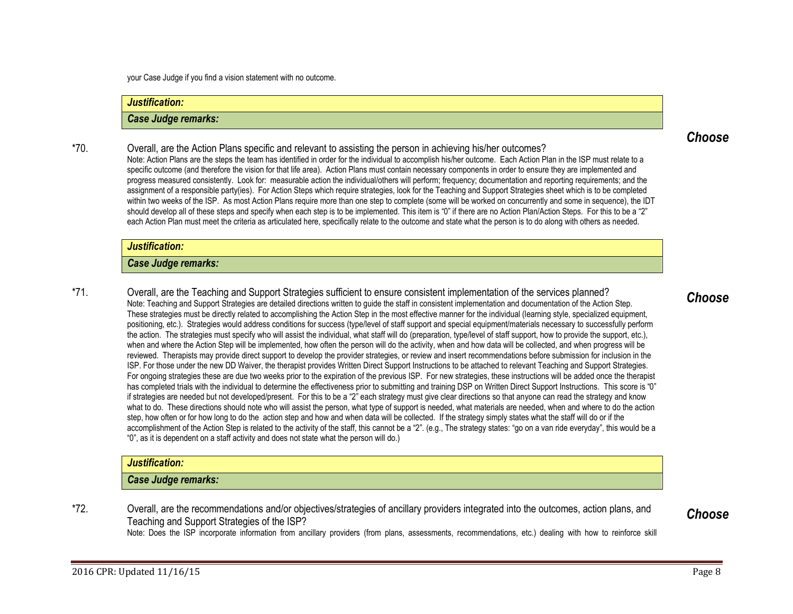your Case Judge if you find a vision statement with no outcome.

## *Justification:*

## *Case Judge remarks:*

\*70. Overall, are the Action Plans specific and relevant to assisting the person in achieving his/her outcomes? Note: Action Plans are the steps the team has identified in order for the individual to accomplish his/her outcome. Each Action Plan in the ISP must relate to a specific outcome (and therefore the vision for that life area). Action Plans must contain necessary components in order to ensure they are implemented and progress measured consistently. Look for: measurable action the individual/others will perform; frequency; documentation and reporting requirements; and the assignment of a responsible party(ies). For Action Steps which require strategies, look for the Teaching and Support Strategies sheet which is to be completed within two weeks of the ISP. As most Action Plans require more than one step to complete (some will be worked on concurrently and some in sequence), the IDT should develop all of these steps and specify when each step is to be implemented. This item is "0" if there are no Action Plan/Action Steps. For this to be a "2" each Action Plan must meet the criteria as articulated here, specifically relate to the outcome and state what the person is to do along with others as needed.

#### *Justification:*

#### *Case Judge remarks:*

\*71. Overall, are the Teaching and Support Strategies sufficient to ensure consistent implementation of the services planned? Note: Teaching and Support Strategies are detailed directions written to guide the staff in consistent implementation and documentation of the Action Step. These strategies must be directly related to accomplishing the Action Step in the most effective manner for the individual (learning style, specialized equipment, positioning, etc.). Strategies would address conditions for success (type/level of staff support and special equipment/materials necessary to successfully perform the action. The strategies must specify who will assist the individual, what staff will do (preparation, type/level of staff support, how to provide the support, etc.), when and where the Action Step will be implemented, how often the person will do the activity, when and how data will be collected, and when progress will be reviewed. Therapists may provide direct support to develop the provider strategies, or review and insert recommendations before submission for inclusion in the ISP. For those under the new DD Waiver, the therapist provides Written Direct Support Instructions to be attached to relevant Teaching and Support Strategies. For ongoing strategies these are due two weeks prior to the expiration of the previous ISP. For new strategies, these instructions will be added once the therapist has completed trials with the individual to determine the effectiveness prior to submitting and training DSP on Written Direct Support Instructions. This score is "0" if strategies are needed but not developed/present. For this to be a "2" each strategy must give clear directions so that anyone can read the strategy and know what to do. These directions should note who will assist the person, what type of support is needed, what materials are needed, when and where to do the action step, how often or for how long to do the action step and how and when data will be collected. If the strategy simply states what the staff will do or if the accomplishment of the Action Step is related to the activity of the staff, this cannot be a "2", (e.g., The strategy states: "go on a van ride everyday", this would be a "0", as it is dependent on a staff activity and does not state what the person will do.)

## *Justification:*

### *Case Judge remarks:*

\*72. Overall, are the recommendations and/or objectives/strategies of ancillary providers integrated into the outcomes, action plans, and Teaching and Support Strategies of the ISP?

Note: Does the ISP incorporate information from ancillary providers (from plans, assessments, recommendations, etc.) dealing with how to reinforce skill

## <span id="page-7-1"></span><span id="page-7-0"></span>*Choose*

## 2016 CPR: Updated 11/16/15 Page 8

<span id="page-7-2"></span>*Choose*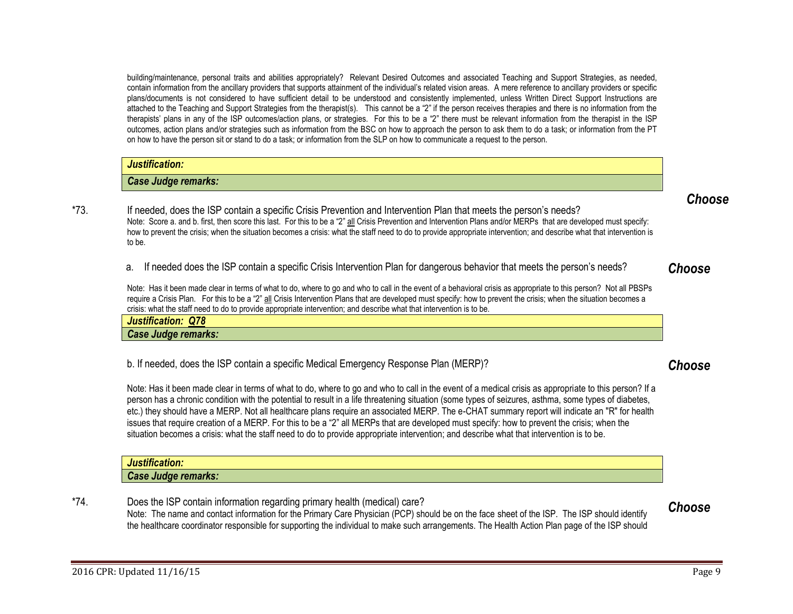building/maintenance, personal traits and abilities appropriately? Relevant Desired Outcomes and associated Teaching and Support Strategies, as needed, contain information from the ancillary providers that supports attainment of the individual's related vision areas. A mere reference to ancillary providers or specific plans/documents is not considered to have sufficient detail to be understood and consistently implemented, unless Written Direct Support Instructions are attached to the Teaching and Support Strategies from the therapist(s). This cannot be a "2" if the person receives therapies and there is no information from the therapists' plans in any of the ISP outcomes/action plans, or strategies. For this to be a "2" there must be relevant information from the therapist in the ISP outcomes, action plans and/or strategies such as information from the BSC on how to approach the person to ask them to do a task; or information from the PT on how to have the person sit or stand to do a task; or information from the SLP on how to communicate a request to the person.

| Justification:                                |        |
|-----------------------------------------------|--------|
| Case Judge remarks:                           |        |
| $\sim$<br>$\sim$ $\sim$<br>.<br>$\sim$ $\sim$ | Choose |

\*73. If needed, does the ISP contain a specific Crisis Prevention and Intervention Plan that meets the person's needs? Note: Score a. and b. first, then score this last. For this to be a "2" all Crisis Prevention and Intervention Plans and/or MERPs that are developed must specify: how to prevent the crisis; when the situation becomes a crisis: what the staff need to do to provide appropriate intervention; and describe what that intervention is to be.

a. If needed does the ISP contain a specific Crisis Intervention Plan for dangerous behavior that meets the person's needs?

<span id="page-8-0"></span>*Choose*

Note: Has it been made clear in terms of what to do, where to go and who to call in the event of a behavioral crisis as appropriate to this person? Not all PBSPs require a Crisis Plan. For this to be a "2" all Crisis Intervention Plans that are developed must specify: how to prevent the crisis; when the situation becomes a crisis: what the staff need to do to provide appropriate intervention; and describe what that intervention is to be.

| $\sim$<br>$-0.000$<br>- - -<br>.<br><b>JUF</b><br><b>Q</b> |  |
|------------------------------------------------------------|--|
| <b>Case Judge</b><br>remarks:                              |  |

b. If needed, does the ISP contain a specific Medical Emergency Response Plan (MERP)?

<span id="page-8-1"></span>*Choose*

Note: Has it been made clear in terms of what to do, where to go and who to call in the event of a medical crisis as appropriate to this person? If a person has a chronic condition with the potential to result in a life threatening situation (some types of seizures, asthma, some types of diabetes, etc.) they should have a MERP. Not all healthcare plans require an associated MERP. The e-CHAT summary report will indicate an "R" for health issues that require creation of a MERP. For this to be a "2" all MERPs that are developed must specify: how to prevent the crisis; when the situation becomes a crisis: what the staff need to do to provide appropriate intervention; and describe what that intervention is to be.

| 49.00<br>11211112221222<br>шл                        |  |
|------------------------------------------------------|--|
| .<br>-------<br>,,,,<br><b>SASE JUUU-</b><br>"IdINS. |  |

\*74. Does the ISP contain information regarding primary health (medical) care? Note: The name and contact information for the Primary Care Physician (PCP) should be on the face sheet of the ISP. The ISP should identify the healthcare coordinator responsible for supporting the individual to make such arrangements. The Health Action Plan page of the ISP should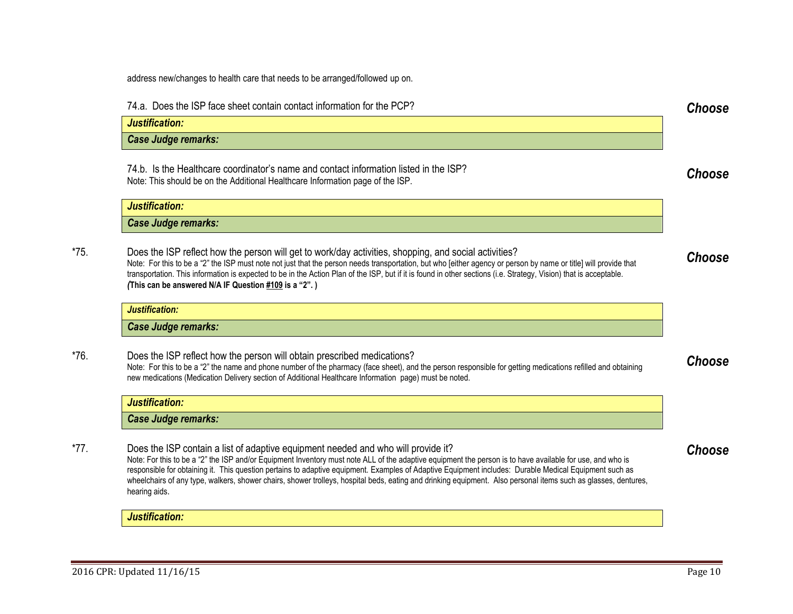address new/changes to health care that needs to be arranged/followed up on.

74.a. Does the ISP face sheet contain contact information for the PCP? *Choose*

74.b. Is the Healthcare coordinator's name and contact information listed in the ISP? This is the meanticale coordinator's name and contact information issed in the ISP.<br>Note: This should be on the Additional Healthcare Information page of the ISP.

| Justification:      |
|---------------------|
| Case Judge remarks: |

\*75. Does the ISP reflect how the person will get to work/day activities, shopping, and social activities? Note: For this to be a "2" the ISP must note not just that the person needs transportation, but who [either agency or person by name or title] will provide that transportation. This information is expected to be in the Action Plan of the ISP, but if it is found in other sections (i.e. Strategy, Vision) that is acceptable. *(***This can be answered N/A IF Question [#109](#page-17-0) is a "2". )**

<span id="page-9-0"></span>*Choose*

<span id="page-9-1"></span>*Choose*

<span id="page-9-2"></span>*Choose*

#### *Justification:*

*Case Judge remarks:*

\*76. Does the ISP reflect how the person will obtain prescribed medications? Note: For this to be a "2" the name and phone number of the pharmacy (face sheet), and the person responsible for getting medications refilled and obtaining new medications (Medication Delivery section of Additional Healthcare Information page) must be noted.

| <b>ARCH</b><br>ustification. |  |
|------------------------------|--|
| <b>Case Judge remarks:</b>   |  |

\*77. Does the ISP contain a list of adaptive equipment needed and who will provide it? Note: For this to be a "2" the ISP and/or Equipment Inventory must note ALL of the adaptive equipment the person is to have available for use, and who is responsible for obtaining it. This question pertains to adaptive equipment. Examples of Adaptive Equipment includes: Durable Medical Equipment such as wheelchairs of any type, walkers, shower chairs, shower trolleys, hospital beds, eating and drinking equipment. Also personal items such as glasses, dentures, hearing aids.

*Justification:*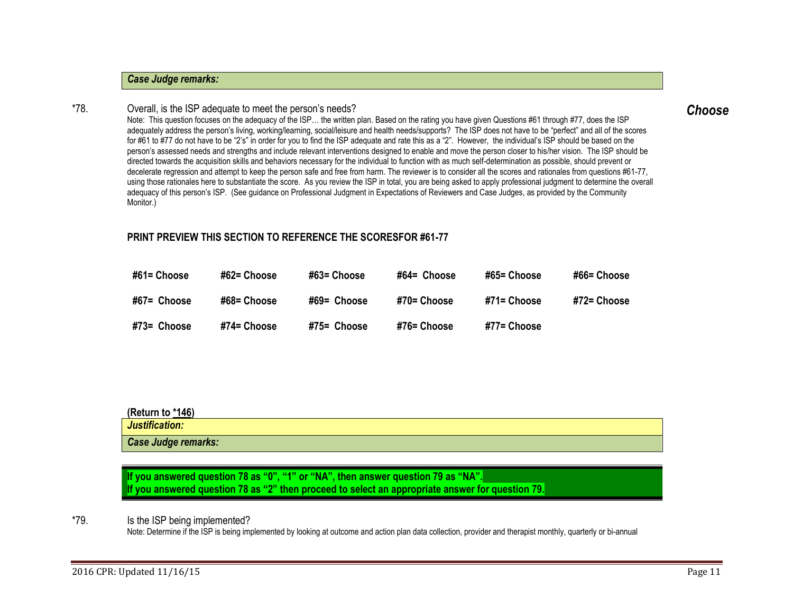## *Case Judge remarks:*

### \*78. Overall, is the ISP adequate to meet the person's needs?

<span id="page-10-0"></span>Note: This question focuses on the adequacy of the ISP… the written plan. Based on the rating you have given Questions #61 through #77, does the ISP adequately address the person's living, working/learning, social/leisure and health needs/supports? The ISP does not have to be "perfect" and all of the scores for #61 to #77 do not have to be "2's" in order for you to find the ISP adequate and rate this as a "2". However, the individual's ISP should be based on the person's assessed needs and strengths and include relevant interventions designed to enable and move the person closer to his/her vision. The ISP should be directed towards the acquisition skills and behaviors necessary for the individual to function with as much self-determination as possible, should prevent or decelerate regression and attempt to keep the person safe and free from harm. The reviewer is to consider all the scores and rationales from questions #61-77, using those rationales here to substantiate the score. As you review the ISP in total, you are being asked to apply professional judgment to determine the overall adequacy of this person's ISP. (See guidance on Professional Judgment in Expectations of Reviewers and Case Judges, as provided by the Community Monitor.)

## **PRINT PREVIEW THIS SECTION TO REFERENCE THE SCORESFOR #61-77**

| #61= Choose | #62= Choose | #63= Choose   | #64= Choose | #65= Choose | #66= Choose |
|-------------|-------------|---------------|-------------|-------------|-------------|
| #67= Choose | #68= Choose | #69= Choose   | #70= Choose | #71= Choose | #72= Choose |
| #73= Choose | #74= Choose | $#75=$ Choose | #76= Choose | #77= Choose |             |

## **(Return t[o \\*146\)](#page-25-1)**

| Justification:             |  |
|----------------------------|--|
| <b>Case Judge remarks:</b> |  |

<span id="page-10-1"></span>**If you answered question 78 as "0", "1" or "NA", then answer question 79 as "NA". If you answered question 78 as "2" then proceed to select an appropriate answer for question 79.**

\*79. Is the ISP being implemented?

Note: Determine if the ISP is being implemented by looking at outcome and action plan data collection, provider and therapist monthly, quarterly or bi-annual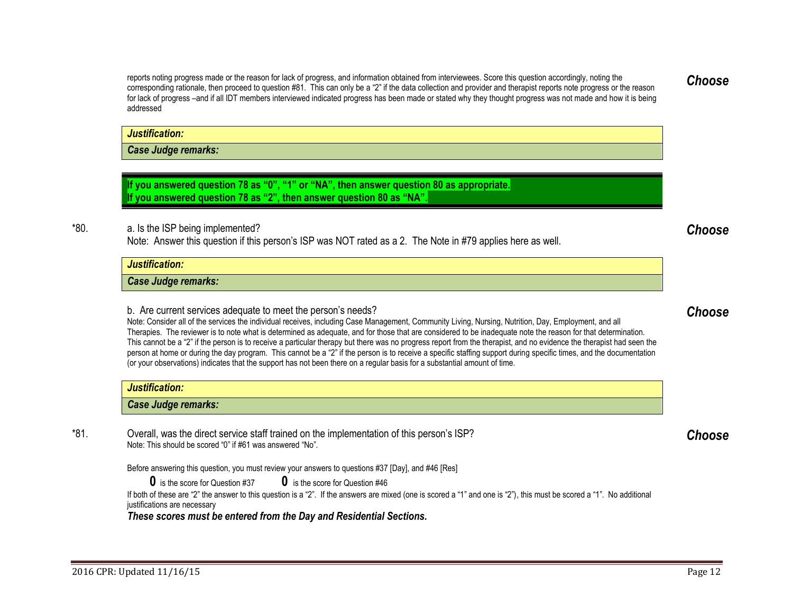reports noting progress made or the reason for lack of progress, and information obtained from interviewees. Score this question accordingly, noting the corresponding rationale, then proceed to question #81. This can only be a "2" if the data collection and provider and therapist reports note progress or the reason for lack of progress –and if all IDT members interviewed indicated progress has been made or stated why they thought progress was not made and how it is being addressed

*Justification:*

*Case Judge remarks:*

**If you answered question 78 as "0", "1" or "NA", then answer question 80 as appropriate. If you answered question 78 as "2", then answer question 80 as "NA".** 

\*80. a. Is the ISP being implemented? Note: Answer this question if this person's ISP was NOT rated as a 2. The Note in #79 applies here as well.

*Justification:*

*Case Judge remarks:*

b. Are current services adequate to meet the person's needs?

Note: Consider all of the services the individual receives, including Case Management, Community Living, Nursing, Nutrition, Day, Employment, and all Therapies. The reviewer is to note what is determined as adequate, and for those that are considered to be inadequate note the reason for that determination. This cannot be a "2" if the person is to receive a particular therapy but there was no progress report from the therapist, and no evidence the therapist had seen the person at home or during the day program. This cannot be a "2" if the person is to receive a specific staffing support during specific times, and the documentation (or your observations) indicates that the support has not been there on a regular basis for a substantial amount of time.

| Justification:             |  |
|----------------------------|--|
| <b>Case Judge remarks:</b> |  |

\*81. Overall, was the direct service staff trained on the implementation of this person's ISP? Note: This should be scored "0" if #61 was answered "No".

Before answering this question, you must review your answers to questions #37 [Day], and #46 [Res]

**0** is the score for Question #37 **0** is the score for Question #46

If both of these are "2" the answer to this question is a "2". If the answers are mixed (one is scored a "1" and one is "2"), this must be scored a "1". No additional justifications are necessary

*These scores must be entered from the Day and Residential Sections.*

## <span id="page-11-2"></span>*Choose*

# <span id="page-11-1"></span><span id="page-11-0"></span>*Choose*

*Choose*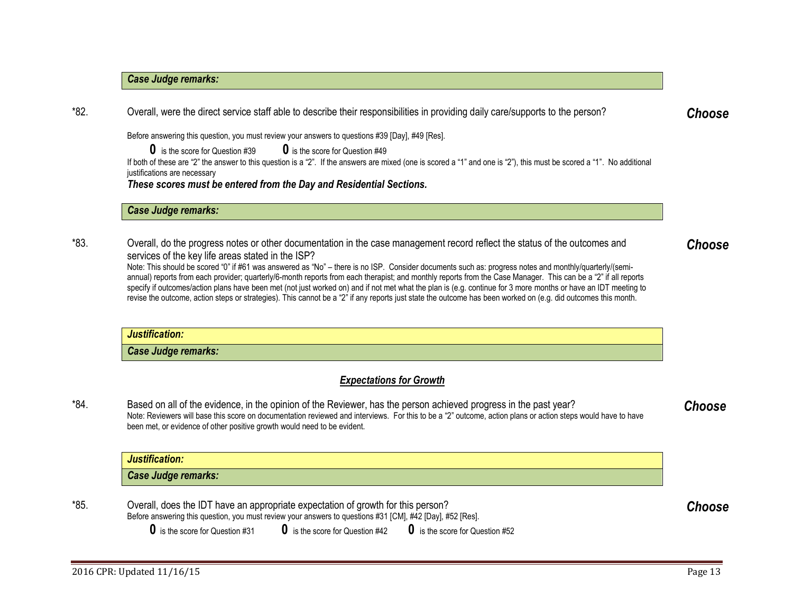## *Case Judge remarks:*

\*82. Overall, were the direct service staff able to describe their responsibilities in providing daily care/supports to the person?

Before answering this question, you must review your answers to questions #39 [Day], #49 [Res].

**0** is the score for Question #39 **0** is the score for Question #49

If both of these are "2" the answer to this question is a "2". If the answers are mixed (one is scored a "1" and one is "2"), this must be scored a "1". No additional justifications are necessary

*These scores must be entered from the Day and Residential Sections.*

*Case Judge remarks:*

\*83. Overall, do the progress notes or other documentation in the case management record reflect the status of the outcomes and services of the key life areas stated in the ISP?

Note: This should be scored "0" if #61 was answered as "No" – there is no ISP. Consider documents such as: progress notes and monthly/quarterly/(semiannual) reports from each provider; quarterly/6-month reports from each therapist; and monthly reports from the Case Manager. This can be a "2" if all reports specify if outcomes/action plans have been met (not just worked on) and if not met what the plan is (e.g. continue for 3 more months or have an IDT meeting to revise the outcome, action steps or strategies). This cannot be a "2" if any reports just state the outcome has been worked on (e.g. did outcomes this month.

| Justification:             |  |
|----------------------------|--|
| <b>Case Judge remarks:</b> |  |

## <span id="page-12-0"></span>*Expectations for Growth*

\*84. Based on all of the evidence, in the opinion of the Reviewer, has the person achieved progress in the past year? Note: Reviewers will base this score on documentation reviewed and interviews. For this to be a "2" outcome, action plans or action steps would have to have been met, or evidence of other positive growth would need to be evident.

## *Justification: Case Judge remarks:*

\*85. Overall, does the IDT have an appropriate expectation of growth for this person? Before answering this question, you must review your answers to questions #31 [CM], #42 [Day], #52 [Res]. <span id="page-12-4"></span>*Choose*

<span id="page-12-3"></span>*Choose*

<span id="page-12-1"></span>*Choose*

<span id="page-12-2"></span>*Choose*

**0** is the score for Question #31 **0** is the score for Question #42 **0** is the score for Question #52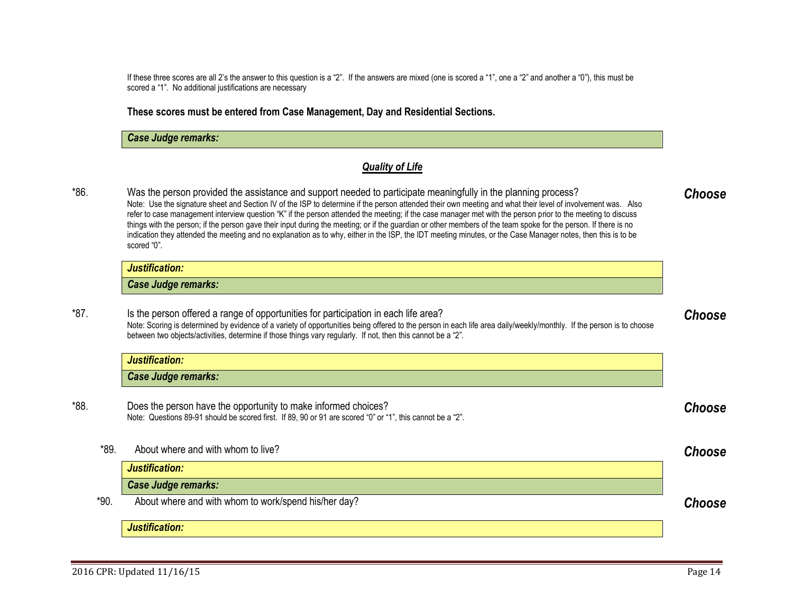If these three scores are all 2's the answer to this question is a "2". If the answers are mixed (one is scored a "1", one a "2" and another a "0"), this must be scored a "1". No additional justifications are necessary

**These scores must be entered from Case Management, Day and Residential Sections.** 

## *Case Judge remarks:*

## <span id="page-13-5"></span><span id="page-13-4"></span><span id="page-13-3"></span><span id="page-13-2"></span><span id="page-13-1"></span><span id="page-13-0"></span>*Quality of Life*

\*86. Was the person provided the assistance and support needed to participate meaningfully in the planning process? Note: Use the signature sheet and Section IV of the ISP to determine if the person attended their own meeting and what their level of involvement was. Also refer to case management interview question "K" if the person attended the meeting; if the case manager met with the person prior to the meeting to discuss things with the person; if the person gave their input during the meeting; or if the guardian or other members of the team spoke for the person. If there is no indication they attended the meeting and no explanation as to why, either in the ISP, the IDT meeting minutes, or the Case Manager notes, then this is to be scored "0". *Choose*

| 10000<br>Justification:    |  |
|----------------------------|--|
| <b>Case Judge remarks:</b> |  |

\*87. Is the person offered a range of opportunities for participation in each life area? Note: Scoring is determined by evidence of a variety of opportunities being offered to the person in each life area daily/weekly/monthly. If the person is to choose between two objects/activities, determine if those things vary regularly. If not, then this cannot be a "2". *Choose*

|      | Justification:                                                                                                                                                               |        |
|------|------------------------------------------------------------------------------------------------------------------------------------------------------------------------------|--------|
|      | <b>Case Judge remarks:</b>                                                                                                                                                   |        |
| *88. | Does the person have the opportunity to make informed choices?<br>Note: Questions 89-91 should be scored first. If 89, 90 or 91 are scored "0" or "1", this cannot be a "2". | Choose |

\*89. About where and with whom to live? *Choose Justification: Case Judge remarks:* \*90. About where and with whom to work/spend his/her day? *Choose Justification:*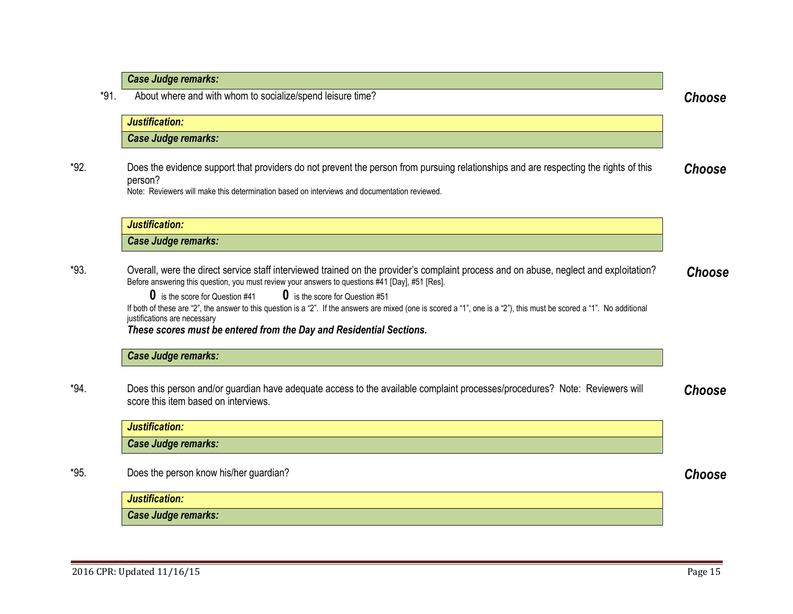|      | <b>Case Judge remarks:</b>                                                                                                                                                                                                                                                                                                                                                                                                                                                                                                                                                                                     |               |
|------|----------------------------------------------------------------------------------------------------------------------------------------------------------------------------------------------------------------------------------------------------------------------------------------------------------------------------------------------------------------------------------------------------------------------------------------------------------------------------------------------------------------------------------------------------------------------------------------------------------------|---------------|
| *91. | About where and with whom to socialize/spend leisure time?                                                                                                                                                                                                                                                                                                                                                                                                                                                                                                                                                     | <b>Choose</b> |
|      | Justification:                                                                                                                                                                                                                                                                                                                                                                                                                                                                                                                                                                                                 |               |
|      | <b>Case Judge remarks:</b>                                                                                                                                                                                                                                                                                                                                                                                                                                                                                                                                                                                     |               |
| *92. | Does the evidence support that providers do not prevent the person from pursuing relationships and are respecting the rights of this<br>person?<br>Note: Reviewers will make this determination based on interviews and documentation reviewed.                                                                                                                                                                                                                                                                                                                                                                | Choose        |
|      | Justification:                                                                                                                                                                                                                                                                                                                                                                                                                                                                                                                                                                                                 |               |
|      | <b>Case Judge remarks:</b>                                                                                                                                                                                                                                                                                                                                                                                                                                                                                                                                                                                     |               |
| *93. | Overall, were the direct service staff interviewed trained on the provider's complaint process and on abuse, neglect and exploitation?<br>Before answering this question, you must review your answers to questions #41 [Day], #51 [Res].<br><b>0</b> is the score for Question #41<br><b>0</b> is the score for Question #51<br>If both of these are "2", the answer to this question is a "2". If the answers are mixed (one is scored a "1", one is a "2"), this must be scored a "1". No additional<br>justifications are necessary<br>These scores must be entered from the Day and Residential Sections. | Choose        |
|      | <b>Case Judge remarks:</b>                                                                                                                                                                                                                                                                                                                                                                                                                                                                                                                                                                                     |               |
| *94. | Does this person and/or guardian have adequate access to the available complaint processes/procedures? Note: Reviewers will<br>score this item based on interviews.                                                                                                                                                                                                                                                                                                                                                                                                                                            | <b>Choose</b> |
|      | Justification:                                                                                                                                                                                                                                                                                                                                                                                                                                                                                                                                                                                                 |               |
|      | Case Judge remarks:                                                                                                                                                                                                                                                                                                                                                                                                                                                                                                                                                                                            |               |
| *95. | Does the person know his/her guardian?                                                                                                                                                                                                                                                                                                                                                                                                                                                                                                                                                                         | <b>Choose</b> |
|      | Justification:                                                                                                                                                                                                                                                                                                                                                                                                                                                                                                                                                                                                 |               |
|      |                                                                                                                                                                                                                                                                                                                                                                                                                                                                                                                                                                                                                |               |

<span id="page-14-4"></span><span id="page-14-3"></span><span id="page-14-2"></span><span id="page-14-1"></span><span id="page-14-0"></span>÷.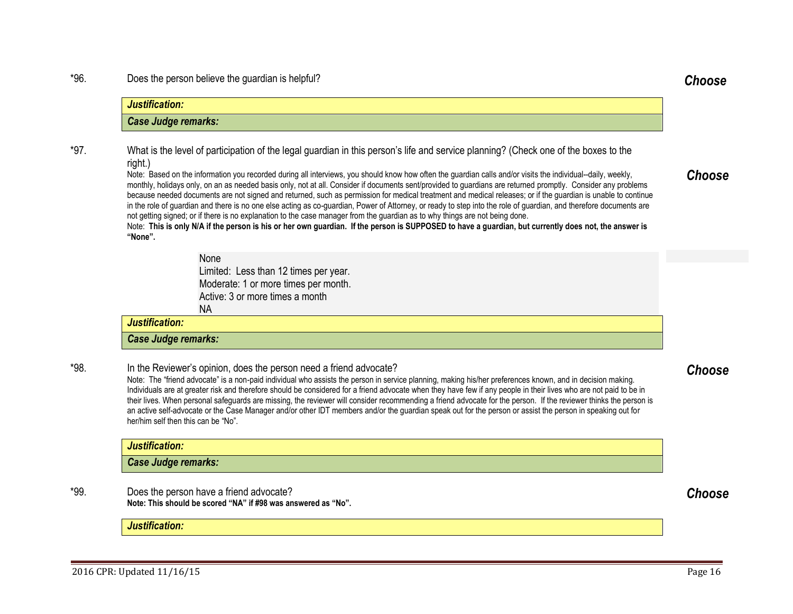### \*96. Does the person believe the guardian is helpful? *Choose*

*Justification:*

right.)

*Case Judge remarks:*

in the role of guardian and there is no one else acting as co-guardian, Power of Attorney, or ready to step into the role of guardian, and therefore documents are not getting signed; or if there is no explanation to the case manager from the guardian as to why things are not being done. Note: **This is only N/A if the person is his or her own guardian. If the person is SUPPOSED to have a guardian, but currently does not, the answer is "None".** None Limited: Less than 12 times per year. Moderate: 1 or more times per month. Active: 3 or more times a month NA \*98. In the Reviewer's opinion, does the person need a friend advocate? Note: The "friend advocate" is a non-paid individual who assists the person in service planning, making his/her preferences known, and in decision making. Individuals are at greater risk and therefore should be considered for a friend advocate when they have few if any people in their lives who are not paid to be in their lives. When personal safeguards are missing, the reviewer will consider recommending a friend advocate for the person. If the reviewer thinks the person is an active self-advocate or the Case Manager and/or other IDT members and/or the guardian speak out for the person or assist the person in speaking out for her/him self then this can be "No".

Note: Based on the information you recorded during all interviews, you should know how often the guardian calls and/or visits the individual--daily, weekly, monthly, holidays only, on an as needed basis only, not at all. Consider if documents sent/provided to guardians are returned promptly. Consider any problems because needed documents are not signed and returned, such as permission for medical treatment and medical releases; or if the guardian is unable to continue

\*97. What is the level of participation of the legal guardian in this person's life and service planning? (Check one of the boxes to the

## *Justification: Case Judge remarks:*

\*99. Does the person have a friend advocate? **Note: This should be scored "NA" if #98 was answered as "No".**

## *Justification:*

## *Justification: Case Judge remarks:*



## <span id="page-15-1"></span><span id="page-15-0"></span>*Choose*

<span id="page-15-3"></span><span id="page-15-2"></span>*Choose*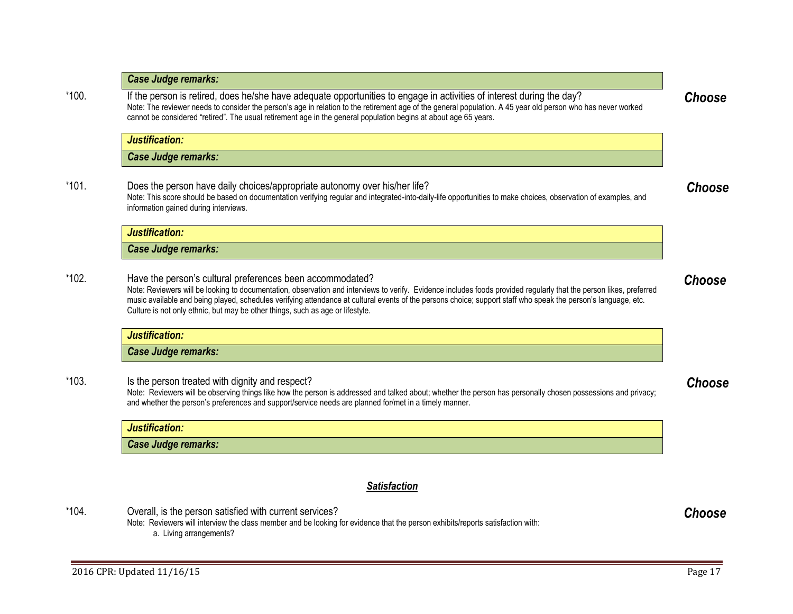| *100.   | If the person is retired, does he/she have adequate opportunities to engage in activities of interest during the day?<br>Note: The reviewer needs to consider the person's age in relation to the retirement age of the general population. A 45 year old person who has never worked<br>cannot be considered "retired". The usual retirement age in the general population begins at about age 65 years.                                                                            | <b>Choose</b> |
|---------|--------------------------------------------------------------------------------------------------------------------------------------------------------------------------------------------------------------------------------------------------------------------------------------------------------------------------------------------------------------------------------------------------------------------------------------------------------------------------------------|---------------|
|         | Justification:                                                                                                                                                                                                                                                                                                                                                                                                                                                                       |               |
|         | <b>Case Judge remarks:</b>                                                                                                                                                                                                                                                                                                                                                                                                                                                           |               |
| $*101.$ | Does the person have daily choices/appropriate autonomy over his/her life?<br>Note: This score should be based on documentation verifying regular and integrated-into-daily-life opportunities to make choices, observation of examples, and<br>information gained during interviews.                                                                                                                                                                                                | Choose        |
|         | Justification:                                                                                                                                                                                                                                                                                                                                                                                                                                                                       |               |
|         | <b>Case Judge remarks:</b>                                                                                                                                                                                                                                                                                                                                                                                                                                                           |               |
| *102.   | Have the person's cultural preferences been accommodated?<br>Note: Reviewers will be looking to documentation, observation and interviews to verify. Evidence includes foods provided regularly that the person likes, preferred<br>music available and being played, schedules verifying attendance at cultural events of the persons choice; support staff who speak the person's language, etc.<br>Culture is not only ethnic, but may be other things, such as age or lifestyle. | Choose        |
|         | Justification:                                                                                                                                                                                                                                                                                                                                                                                                                                                                       |               |
|         | <b>Case Judge remarks:</b>                                                                                                                                                                                                                                                                                                                                                                                                                                                           |               |
| $*103.$ | Is the person treated with dignity and respect?<br>Note: Reviewers will be observing things like how the person is addressed and talked about; whether the person has personally chosen possessions and privacy;<br>and whether the person's preferences and support/service needs are planned for/met in a timely manner.                                                                                                                                                           | Choose        |
|         | Justification:                                                                                                                                                                                                                                                                                                                                                                                                                                                                       |               |
|         | <b>Case Judge remarks:</b>                                                                                                                                                                                                                                                                                                                                                                                                                                                           |               |
|         |                                                                                                                                                                                                                                                                                                                                                                                                                                                                                      |               |
|         | <b>Satisfaction</b>                                                                                                                                                                                                                                                                                                                                                                                                                                                                  |               |

\*104. Overall, is the person satisfied with current services?

*Case Judge remarks:*

Note: Reviewers will interview the class member and be looking for evidence that the person exhibits/reports satisfaction with: a. Living arrangements?

<span id="page-16-5"></span><span id="page-16-4"></span><span id="page-16-3"></span><span id="page-16-2"></span><span id="page-16-1"></span><span id="page-16-0"></span>*Choose*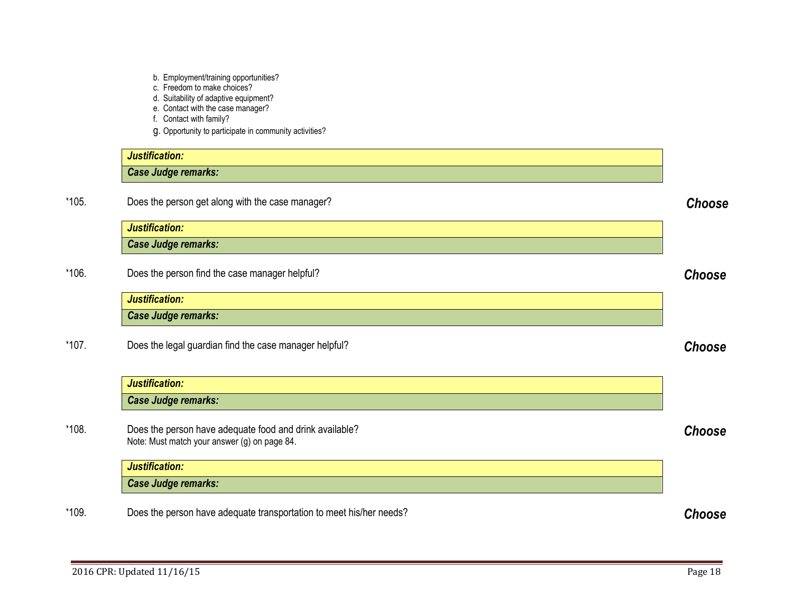- b. Employment/training opportunities?
- c. Freedom to make choices?
- d. Suitability of adaptive equipment?
- e. Contact with the case manager?
- <span id="page-17-2"></span><span id="page-17-1"></span>f. Contact with family?
- <span id="page-17-4"></span><span id="page-17-3"></span><span id="page-17-0"></span>g. Opportunity to participate in community activities?

|       | Justification:                                                                                          |               |
|-------|---------------------------------------------------------------------------------------------------------|---------------|
|       | Case Judge remarks:                                                                                     |               |
| *105. | Does the person get along with the case manager?                                                        | Choose        |
|       | Justification:                                                                                          |               |
|       | <b>Case Judge remarks:</b>                                                                              |               |
| *106. | Does the person find the case manager helpful?                                                          | Choose        |
|       | Justification:                                                                                          |               |
|       | <b>Case Judge remarks:</b>                                                                              |               |
| *107. | Does the legal guardian find the case manager helpful?                                                  | Choose        |
|       | Justification:                                                                                          |               |
|       | Case Judge remarks:                                                                                     |               |
| *108. | Does the person have adequate food and drink available?<br>Note: Must match your answer (g) on page 84. | Choose        |
|       | Justification:                                                                                          |               |
|       | <b>Case Judge remarks:</b>                                                                              |               |
| *109. | Does the person have adequate transportation to meet his/her needs?                                     | <b>Choose</b> |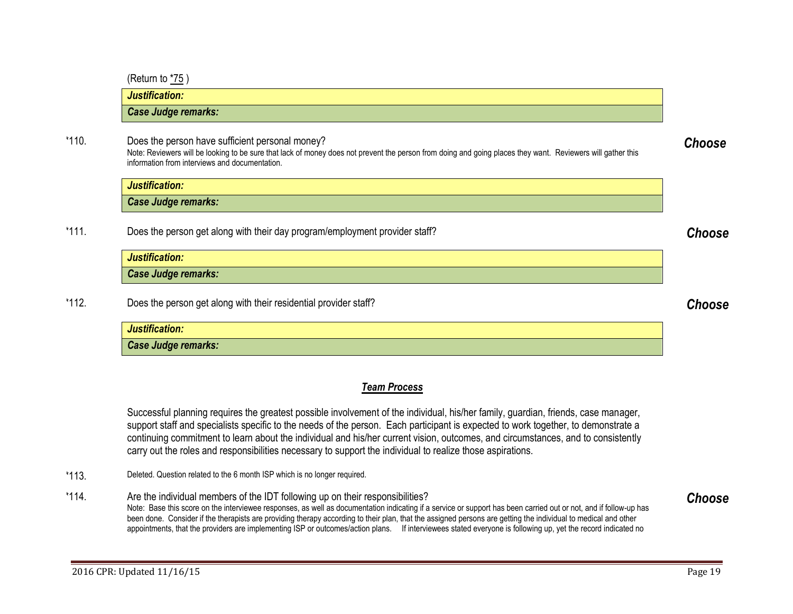(Return t[o \\*75](#page-9-0) )

*Justification: Case Judge remarks:*

\*110. Does the person have sufficient personal money? Note: Reviewers will be looking to be sure that lack of money does not prevent the person from doing and going places they want. Reviewers will gather this information from interviews and documentation.

*Justification: Case Judge remarks:*

\*111. Does the person get along with their day program/employment provider staff? *Choose*

*Justification: Case Judge remarks:*

\*112. Does the person get along with their residential provider staff? *Choose*

| Justification:      |  |
|---------------------|--|
| Case Judge remarks: |  |

## <span id="page-18-0"></span>*Team Process*

Successful planning requires the greatest possible involvement of the individual, his/her family, guardian, friends, case manager, support staff and specialists specific to the needs of the person. Each participant is expected to work together, to demonstrate a continuing commitment to learn about the individual and his/her current vision, outcomes, and circumstances, and to consistently carry out the roles and responsibilities necessary to support the individual to realize those aspirations.

- \*113. Deleted. Question related to the 6 month ISP which is no longer required.
- \*114. Are the individual members of the IDT following up on their responsibilities? Note: Base this score on the interviewee responses, as well as documentation indicating if a service or support has been carried out or not, and if follow-up has been done. Consider if the therapists are providing therapy according to their plan, that the assigned persons are getting the individual to medical and other appointments, that the providers are implementing ISP or outcomes/action plans. If interviewees stated everyone is following up, yet the record indicated no

<span id="page-18-4"></span>*Choose*

<span id="page-18-3"></span>

<span id="page-18-2"></span><span id="page-18-1"></span>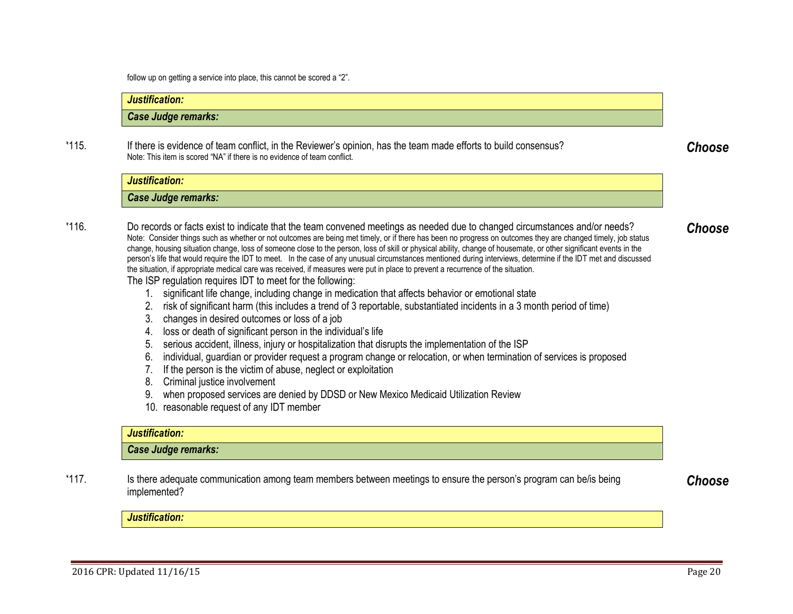<span id="page-19-2"></span><span id="page-19-1"></span><span id="page-19-0"></span>follow up on getting a service into place, this cannot be scored a "2".

| Justification:                                                                                                                                                                                                                                                                                                                                                                                                                                                                                                                                                                                                                                                                                                                                                                                                                                                                                                                                                                                                                                                                                                                                                                                                                                                                                                                                                                                                                                                                                                                                                                                                                                                                                         |
|--------------------------------------------------------------------------------------------------------------------------------------------------------------------------------------------------------------------------------------------------------------------------------------------------------------------------------------------------------------------------------------------------------------------------------------------------------------------------------------------------------------------------------------------------------------------------------------------------------------------------------------------------------------------------------------------------------------------------------------------------------------------------------------------------------------------------------------------------------------------------------------------------------------------------------------------------------------------------------------------------------------------------------------------------------------------------------------------------------------------------------------------------------------------------------------------------------------------------------------------------------------------------------------------------------------------------------------------------------------------------------------------------------------------------------------------------------------------------------------------------------------------------------------------------------------------------------------------------------------------------------------------------------------------------------------------------------|
| <b>Case Judge remarks:</b>                                                                                                                                                                                                                                                                                                                                                                                                                                                                                                                                                                                                                                                                                                                                                                                                                                                                                                                                                                                                                                                                                                                                                                                                                                                                                                                                                                                                                                                                                                                                                                                                                                                                             |
| If there is evidence of team conflict, in the Reviewer's opinion, has the team made efforts to build consensus?<br>Note: This item is scored "NA" if there is no evidence of team conflict.                                                                                                                                                                                                                                                                                                                                                                                                                                                                                                                                                                                                                                                                                                                                                                                                                                                                                                                                                                                                                                                                                                                                                                                                                                                                                                                                                                                                                                                                                                            |
| Justification:                                                                                                                                                                                                                                                                                                                                                                                                                                                                                                                                                                                                                                                                                                                                                                                                                                                                                                                                                                                                                                                                                                                                                                                                                                                                                                                                                                                                                                                                                                                                                                                                                                                                                         |
| <b>Case Judge remarks:</b>                                                                                                                                                                                                                                                                                                                                                                                                                                                                                                                                                                                                                                                                                                                                                                                                                                                                                                                                                                                                                                                                                                                                                                                                                                                                                                                                                                                                                                                                                                                                                                                                                                                                             |
| Do records or facts exist to indicate that the team convened meetings as needed due to changed circumstances and/or needs?<br>Note: Consider things such as whether or not outcomes are being met timely, or if there has been no progress on outcomes they are changed timely, job status<br>change, housing situation change, loss of someone close to the person, loss of skill or physical ability, change of housemate, or other significant events in the<br>person's life that would require the IDT to meet. In the case of any unusual circumstances mentioned during interviews, determine if the IDT met and discussed<br>the situation, if appropriate medical care was received, if measures were put in place to prevent a recurrence of the situation.<br>The ISP regulation requires IDT to meet for the following:<br>significant life change, including change in medication that affects behavior or emotional state<br>$1_{\cdot}$<br>risk of significant harm (this includes a trend of 3 reportable, substantiated incidents in a 3 month period of time)<br>2.<br>3. changes in desired outcomes or loss of a job<br>loss or death of significant person in the individual's life<br>4.<br>serious accident, illness, injury or hospitalization that disrupts the implementation of the ISP<br>5.<br>individual, guardian or provider request a program change or relocation, or when termination of services is proposed<br>6.<br>If the person is the victim of abuse, neglect or exploitation<br>7.<br>Criminal justice involvement<br>8.<br>when proposed services are denied by DDSD or New Mexico Medicaid Utilization Review<br>10. reasonable request of any IDT member |
| Justification:                                                                                                                                                                                                                                                                                                                                                                                                                                                                                                                                                                                                                                                                                                                                                                                                                                                                                                                                                                                                                                                                                                                                                                                                                                                                                                                                                                                                                                                                                                                                                                                                                                                                                         |
| <b>Case Judge remarks:</b>                                                                                                                                                                                                                                                                                                                                                                                                                                                                                                                                                                                                                                                                                                                                                                                                                                                                                                                                                                                                                                                                                                                                                                                                                                                                                                                                                                                                                                                                                                                                                                                                                                                                             |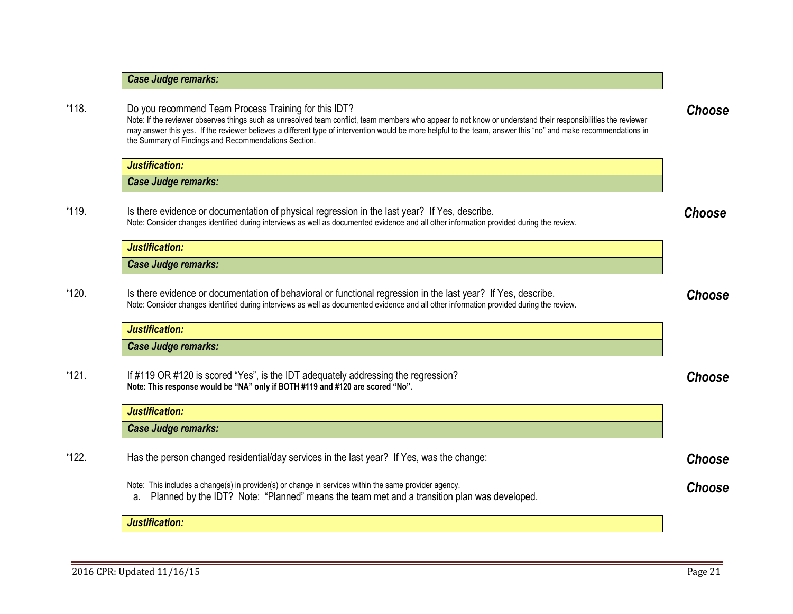|       | Note: If the reviewer observes things such as unresolved team conflict, team members who appear to not know or understand their responsibilities the reviewer<br>may answer this yes. If the reviewer believes a different type of intervention would be more helpful to the team, answer this "no" and make recommendations in<br>the Summary of Findings and Recommendations Section. |               |
|-------|-----------------------------------------------------------------------------------------------------------------------------------------------------------------------------------------------------------------------------------------------------------------------------------------------------------------------------------------------------------------------------------------|---------------|
|       | Justification:                                                                                                                                                                                                                                                                                                                                                                          |               |
|       | Case Judge remarks:                                                                                                                                                                                                                                                                                                                                                                     |               |
| *119. | Is there evidence or documentation of physical regression in the last year? If Yes, describe.<br>Note: Consider changes identified during interviews as well as documented evidence and all other information provided during the review.                                                                                                                                               | Choose        |
|       | Justification:                                                                                                                                                                                                                                                                                                                                                                          |               |
|       | <b>Case Judge remarks:</b>                                                                                                                                                                                                                                                                                                                                                              |               |
| *120. | Is there evidence or documentation of behavioral or functional regression in the last year? If Yes, describe.<br>Note: Consider changes identified during interviews as well as documented evidence and all other information provided during the review.                                                                                                                               | Choose        |
|       | Justification:                                                                                                                                                                                                                                                                                                                                                                          |               |
|       | <b>Case Judge remarks:</b>                                                                                                                                                                                                                                                                                                                                                              |               |
| *121. | If #119 OR #120 is scored "Yes", is the IDT adequately addressing the regression?<br>Note: This response would be "NA" only if BOTH #119 and #120 are scored "No".                                                                                                                                                                                                                      | Choose        |
|       | Justification:                                                                                                                                                                                                                                                                                                                                                                          |               |
|       | <b>Case Judge remarks:</b>                                                                                                                                                                                                                                                                                                                                                              |               |
| *122. | Has the person changed residential/day services in the last year? If Yes, was the change:                                                                                                                                                                                                                                                                                               | Choose        |
|       | Note: This includes a change(s) in provider(s) or change in services within the same provider agency.<br>Planned by the IDT? Note: "Planned" means the team met and a transition plan was developed.<br>а.                                                                                                                                                                              | <b>Choose</b> |
|       | <b>Justification:</b>                                                                                                                                                                                                                                                                                                                                                                   |               |
|       |                                                                                                                                                                                                                                                                                                                                                                                         |               |

<span id="page-20-5"></span><span id="page-20-4"></span>2016 CPR: Updated 11/16/15 Page 21

<span id="page-20-3"></span><span id="page-20-2"></span><span id="page-20-1"></span><span id="page-20-0"></span>*Case Judge remarks:*

\*118. Do you recommend Team Process Training for this IDT?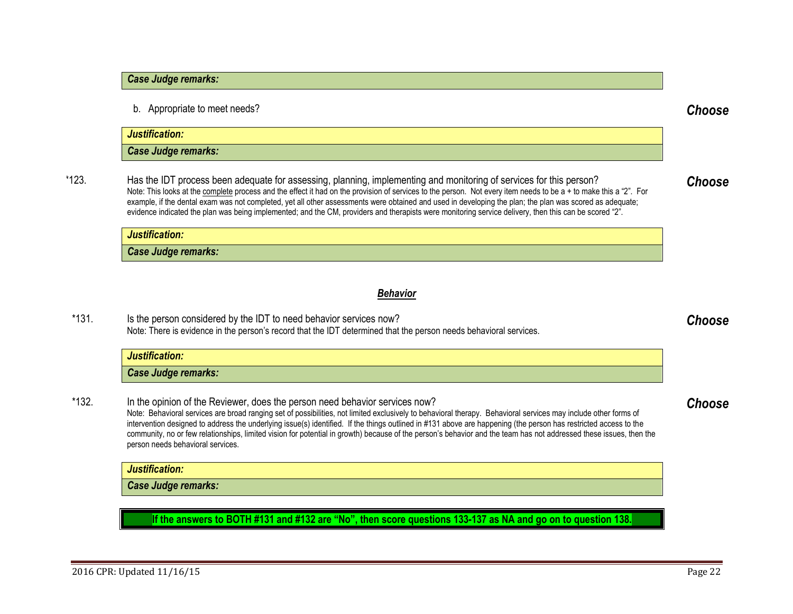## *Case Judge remarks:*

b. Appropriate to meet needs? *Choose*

| Justification:             |  |
|----------------------------|--|
| <b>Case Judge remarks:</b> |  |

\*123. Has the IDT process been adequate for assessing, planning, implementing and monitoring of services for this person? Note: This looks at the complete process and the effect it had on the provision of services to the person. Not every item needs to be a + to make this a "2". For example, if the dental exam was not completed, yet all other assessments were obtained and used in developing the plan; the plan was scored as adequate; evidence indicated the plan was being implemented; and the CM, providers and therapists were monitoring service delivery, then this can be scored "2".

<span id="page-21-2"></span><span id="page-21-1"></span>*Choose*

<span id="page-21-3"></span>*Choose*

<span id="page-21-4"></span>*Choose*

## *Justification: Case Judge remarks:*

## <span id="page-21-0"></span>*Behavior*

\*131. Is the person considered by the IDT to need behavior services now? Note: There is evidence in the person's record that the IDT determined that the person needs behavioral services.

| <b>Justification:</b> |  |
|-----------------------|--|
| Case Judge remarks:   |  |

\*132. In the opinion of the Reviewer, does the person need behavior services now? Note: Behavioral services are broad ranging set of possibilities, not limited exclusively to behavioral therapy. Behavioral services may include other forms of intervention designed to address the underlying issue(s) identified. If the things outlined in #131 above are happening (the person has restricted access to the community, no or few relationships, limited vision for potential in growth) because of the person's behavior and the team has not addressed these issues, then the person needs behavioral services.

*Justification: Case Judge remarks:*

**If the answers to BOTH #131 and #132 are "No", then score questions 133-137 as NA and go on to question 138.**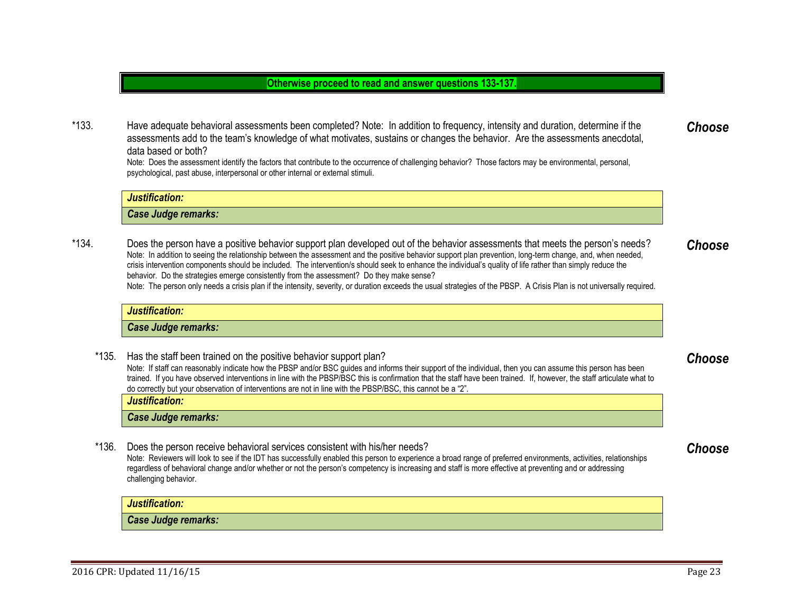## **Otherwise proceed to read and answer questions 133-137.**

\*133. Have adequate behavioral assessments been completed? Note: In addition to frequency, intensity and duration, determine if the assessments add to the team's knowledge of what motivates, sustains or changes the behavior. Are the assessments anecdotal, data based or both? *Choose*

Note: Does the assessment identify the factors that contribute to the occurrence of challenging behavior? Those factors may be environmental, personal, psychological, past abuse, interpersonal or other internal or external stimuli.

## *Justification: Case Judge remarks:* \*134. Does the person have a positive behavior support plan developed out of the behavior assessments that meets the person's needs? Note: In addition to seeing the relationship between the assessment and the positive behavior support plan prevention, long-term change, and, when needed, crisis intervention components should be included. The intervention/s should seek to enhance the individual's quality of life rather than simply reduce the *Choose*

behavior. Do the strategies emerge consistently from the assessment? Do they make sense?

Note: The person only needs a crisis plan if the intensity, severity, or duration exceeds the usual strategies of the PBSP. A Crisis Plan is not universally required.

#### *Justification:*

*Case Judge remarks:*

\*135. Has the staff been trained on the positive behavior support plan? Note: If staff can reasonably indicate how the PBSP and/or BSC guides and informs their support of the individual, then you can assume this person has been trained. If you have observed interventions in line with the PBSP/BSC this is confirmation that the staff have been trained. If, however, the staff articulate what to do correctly but your observation of interventions are not in line with the PBSP/BSC, this cannot be a "2".

*Justification:*

*Case Judge remarks:*

\*136. Does the person receive behavioral services consistent with his/her needs? Note: Reviewers will look to see if the IDT has successfully enabled this person to experience a broad range of preferred environments, activities, relationships regardless of behavioral change and/or whether or not the person's competency is increasing and staff is more effective at preventing and or addressing challenging behavior.

*Justification:*

*Case Judge remarks:*

<span id="page-22-3"></span><span id="page-22-2"></span><span id="page-22-1"></span><span id="page-22-0"></span>*Choose*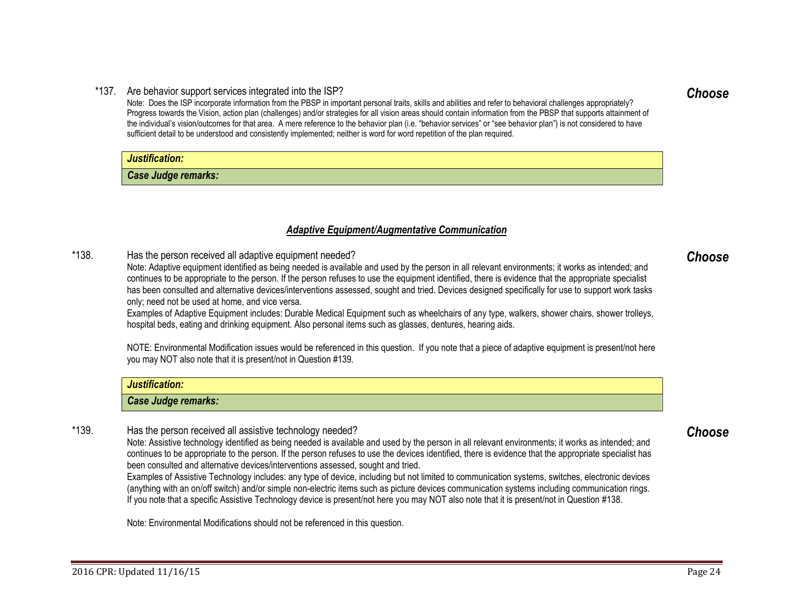#### \*137. Are behavior support services integrated into the ISP?

Note: Does the ISP incorporate information from the PBSP in important personal traits, skills and abilities and refer to behavioral challenges appropriately? Progress towards the Vision, action plan (challenges) and/or strategies for all vision areas should contain information from the PBSP that supports attainment of the individual's vision/outcomes for that area. A mere reference to the behavior plan (i.e. "behavior services" or "see behavior plan") is not considered to have sufficient detail to be understood and consistently implemented; neither is word for word repetition of the plan required.

## *Justification:*

*Case Judge remarks:*

## <span id="page-23-3"></span><span id="page-23-2"></span><span id="page-23-1"></span><span id="page-23-0"></span>*Adaptive Equipment/Augmentative Communication*

\*138. Has the person received all adaptive equipment needed?

Note: Adaptive equipment identified as being needed is available and used by the person in all relevant environments; it works as intended; and continues to be appropriate to the person. If the person refuses to use the equipment identified, there is evidence that the appropriate specialist has been consulted and alternative devices/interventions assessed, sought and tried. Devices designed specifically for use to support work tasks only; need not be used at home, and vice versa.

Examples of Adaptive Equipment includes: Durable Medical Equipment such as wheelchairs of any type, walkers, shower chairs, shower trolleys, hospital beds, eating and drinking equipment. Also personal items such as glasses, dentures, hearing aids.

NOTE: Environmental Modification issues would be referenced in this question. If you note that a piece of adaptive equipment is present/not here you may NOT also note that it is present/not in Question #139.

| Justification:                                           |  |
|----------------------------------------------------------|--|
| <b>Case Judge remarks:</b>                               |  |
| Has the person received all assistive technology needed? |  |

## \*139. Has the person received all assistive technology needed?

Note: Assistive technology identified as being needed is available and used by the person in all relevant environments; it works as intended; and continues to be appropriate to the person. If the person refuses to use the devices identified, there is evidence that the appropriate specialist has been consulted and alternative devices/interventions assessed, sought and tried.

Examples of Assistive Technology includes: any type of device, including but not limited to communication systems, switches, electronic devices (anything with an on/off switch) and/or simple non-electric items such as picture devices communication systems including communication rings. If you note that a specific Assistive Technology device is present/not here you may NOT also note that it is present/not in Question #138.

Note: Environmental Modifications should not be referenced in this question.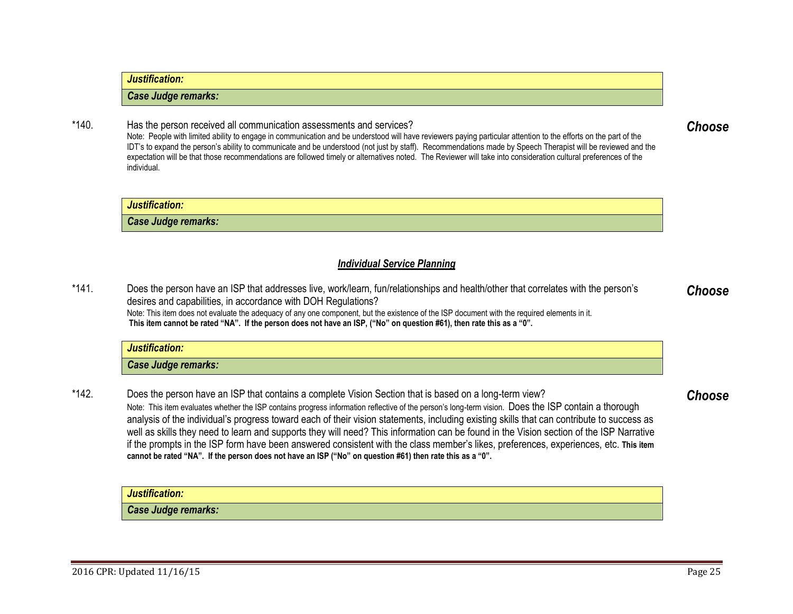## *Justification:*

*Justification:*

*Case Judge remarks:*

## *Case Judge remarks:*

## \*140. Has the person received all communication assessments and services?

Note: People with limited ability to engage in communication and be understood will have reviewers paying particular attention to the efforts on the part of the IDT's to expand the person's ability to communicate and be understood (not just by staff). Recommendations made by Speech Therapist will be reviewed and the expectation will be that those recommendations are followed timely or alternatives noted*.* The Reviewer will take into consideration cultural preferences of the individual.

## <span id="page-24-0"></span>*Individual Service Planning*

\*141. Does the person have an ISP that addresses live, work/learn, fun/relationships and health/other that correlates with the person's desires and capabilities, in accordance with DOH Regulations? Note: This item does not evaluate the adequacy of any one component, but the existence of the ISP document with the required elements in it. **This item cannot be rated "NA". If the person does not have an ISP, ("No" on question #61), then rate this as a "0".** *Choose*

| Justification:             |
|----------------------------|
| <b>Case Judge remarks:</b> |

\*142. Does the person have an ISP that contains a complete Vision Section that is based on a long-term view? Note: This item evaluates whether the ISP contains progress information reflective of the person's long-term vision. Does the ISP contain a thorough analysis of the individual's progress toward each of their vision statements, including existing skills that can contribute to success as well as skills they need to learn and supports they will need? This information can be found in the Vision section of the ISP Narrative if the prompts in the ISP form have been answered consistent with the class member's likes, preferences, experiences, etc. **This item cannot be rated "NA". If the person does not have an ISP ("No" on question #61) then rate this as a "0".** 

| Justification:      |  |
|---------------------|--|
| Case Judge remarks: |  |

<span id="page-24-3"></span><span id="page-24-2"></span><span id="page-24-1"></span>*Choose*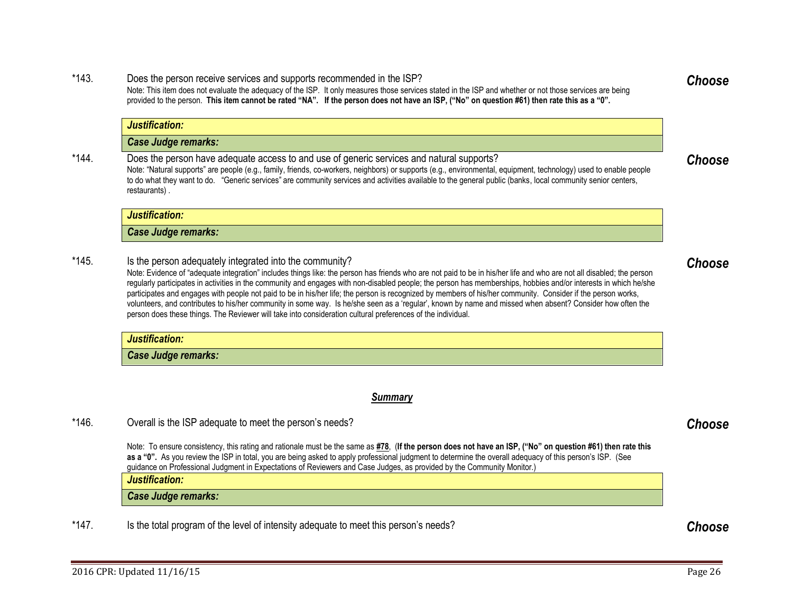#### \*143. Does the person receive services and supports recommended in the ISP? Note: This item does not evaluate the adequacy of the ISP. It only measures those services stated in the ISP and whether or not those services are being provided to the person. **This item cannot be rated "NA". If the person does not have an ISP, ("No" on question #61) then rate this as a "0".**

|       | Case Judge remarks:                                                                                                                                                                                                                                                                                                                                                                                                                             |
|-------|-------------------------------------------------------------------------------------------------------------------------------------------------------------------------------------------------------------------------------------------------------------------------------------------------------------------------------------------------------------------------------------------------------------------------------------------------|
| *144. | Does the person have adequate access to and use of generic services and natural supports?<br>Note: "Natural supports" are people (e.g., family, friends, co-workers, neighbors) or supports (e.g., environmental, equipment, technology) used to enable people<br>to do what they want to do. "Generic services" are community services and activities available to the general public (banks, local community senior centers,<br>restaurants). |
|       | Justification:                                                                                                                                                                                                                                                                                                                                                                                                                                  |
|       | Case Judge remarks:                                                                                                                                                                                                                                                                                                                                                                                                                             |

\*145. Is the person adequately integrated into the community?

Note: Evidence of "adequate integration" includes things like: the person has friends who are not paid to be in his/her life and who are not all disabled; the person regularly participates in activities in the community and engages with non-disabled people; the person has memberships, hobbies and/or interests in which he/she participates and engages with people not paid to be in his/her life; the person is recognized by members of his/her community. Consider if the person works, volunteers, and contributes to his/her community in some way. Is he/she seen as a 'regular', known by name and missed when absent? Consider how often the person does these things. The Reviewer will take into consideration cultural preferences of the individual.

*Justification:*

*Justification:*

*Case Judge remarks:*

## <span id="page-25-0"></span>*Summary*

## \*146. Overall is the ISP adequate to meet the person's needs? *Choose*

Note: To ensure consistency, this rating and rationale must be the same as **[#78](#page-10-0)**, (**If the person does not have an ISP, ("No" on question #61) then rate this as a "0".** As you review the ISP in total, you are being asked to apply professional judgment to determine the overall adequacy of this person's ISP. (See guidance on Professional Judgment in Expectations of Reviewers and Case Judges, as provided by the Community Monitor.)

*Justification:*

*Case Judge remarks:*

\*147. Is the total program of the level of intensity adequate to meet this person's needs? *Choose*

<span id="page-25-4"></span>*Choose*

<span id="page-25-3"></span><span id="page-25-2"></span>*Choose*

<span id="page-25-5"></span><span id="page-25-1"></span>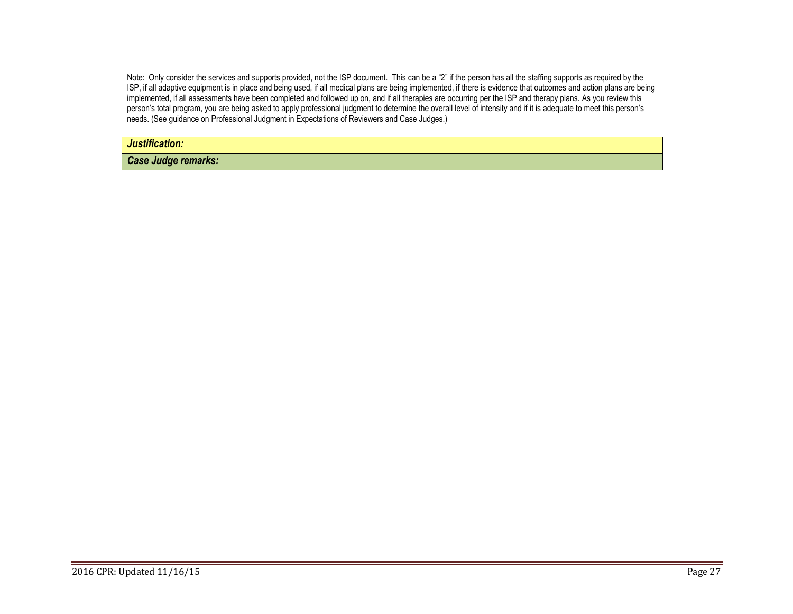Note: Only consider the services and supports provided, not the ISP document. This can be a "2" if the person has all the staffing supports as required by the ISP, if all adaptive equipment is in place and being used, if all medical plans are being implemented, if there is evidence that outcomes and action plans are being implemented, if all assessments have been completed and followed up on, and if all therapies are occurring per the ISP and therapy plans. As you review this person's total program, you are being asked to apply professional judgment to determine the overall level of intensity and if it is adequate to meet this person's needs. (See guidance on Professional Judgment in Expectations of Reviewers and Case Judges.)

*Justification:*

*Case Judge remarks:*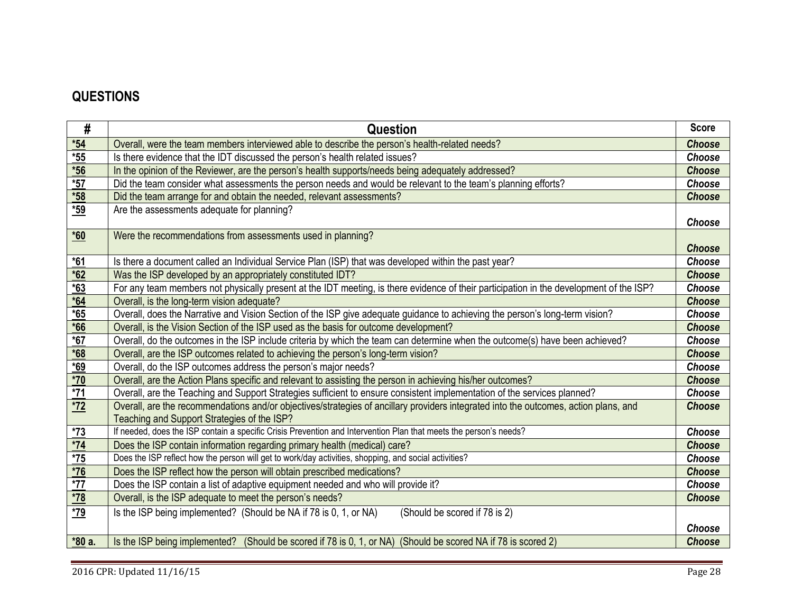## **QUESTIONS**

| #                 | <b>Question</b>                                                                                                                                                                     | <b>Score</b>  |
|-------------------|-------------------------------------------------------------------------------------------------------------------------------------------------------------------------------------|---------------|
| $*54$             | Overall, were the team members interviewed able to describe the person's health-related needs?                                                                                      | <b>Choose</b> |
| $*55$             | Is there evidence that the IDT discussed the person's health related issues?                                                                                                        | Choose        |
| $*56$             | In the opinion of the Reviewer, are the person's health supports/needs being adequately addressed?                                                                                  | <b>Choose</b> |
| $*57$             | Did the team consider what assessments the person needs and would be relevant to the team's planning efforts?                                                                       | Choose        |
| $*58$             | Did the team arrange for and obtain the needed, relevant assessments?                                                                                                               | <b>Choose</b> |
| $*59$             | Are the assessments adequate for planning?                                                                                                                                          | Choose        |
| $*60$             | Were the recommendations from assessments used in planning?                                                                                                                         | <b>Choose</b> |
| $*61$             | Is there a document called an Individual Service Plan (ISP) that was developed within the past year?                                                                                | Choose        |
| $*62$             | Was the ISP developed by an appropriately constituted IDT?                                                                                                                          | <b>Choose</b> |
| $*63$             | For any team members not physically present at the IDT meeting, is there evidence of their participation in the development of the ISP?                                             | Choose        |
| $*64$             | Overall, is the long-term vision adequate?                                                                                                                                          | <b>Choose</b> |
| $*65$             | Overall, does the Narrative and Vision Section of the ISP give adequate guidance to achieving the person's long-term vision?                                                        | Choose        |
| $*66$             | Overall, is the Vision Section of the ISP used as the basis for outcome development?                                                                                                | <b>Choose</b> |
| $\frac{1}{67}$    | Overall, do the outcomes in the ISP include criteria by which the team can determine when the outcome(s) have been achieved?                                                        | Choose        |
| $*68$             | Overall, are the ISP outcomes related to achieving the person's long-term vision?                                                                                                   | <b>Choose</b> |
| $*69$             | Overall, do the ISP outcomes address the person's major needs?                                                                                                                      | Choose        |
| $*70$             | Overall, are the Action Plans specific and relevant to assisting the person in achieving his/her outcomes?                                                                          | <b>Choose</b> |
| $*71$             | Overall, are the Teaching and Support Strategies sufficient to ensure consistent implementation of the services planned?                                                            | Choose        |
| <u> *72</u>       | Overall, are the recommendations and/or objectives/strategies of ancillary providers integrated into the outcomes, action plans, and<br>Teaching and Support Strategies of the ISP? | <b>Choose</b> |
| $*73$             | If needed, does the ISP contain a specific Crisis Prevention and Intervention Plan that meets the person's needs?                                                                   | Choose        |
| $*74$             | Does the ISP contain information regarding primary health (medical) care?                                                                                                           | <b>Choose</b> |
| $*75$             | Does the ISP reflect how the person will get to work/day activities, shopping, and social activities?                                                                               | Choose        |
| $*76$             | Does the ISP reflect how the person will obtain prescribed medications?                                                                                                             | <b>Choose</b> |
| $\overline{77}$   | Does the ISP contain a list of adaptive equipment needed and who will provide it?                                                                                                   | Choose        |
|                   | Overall, is the ISP adequate to meet the person's needs?                                                                                                                            | <b>Choose</b> |
| $\frac{*78}{*79}$ | Is the ISP being implemented? (Should be NA if 78 is 0, 1, or NA)<br>(Should be scored if 78 is 2)                                                                                  |               |
|                   |                                                                                                                                                                                     | Choose        |
| *80 a.            | Is the ISP being implemented? (Should be scored if 78 is 0, 1, or NA) (Should be scored NA if 78 is scored 2)                                                                       | <b>Choose</b> |
|                   |                                                                                                                                                                                     |               |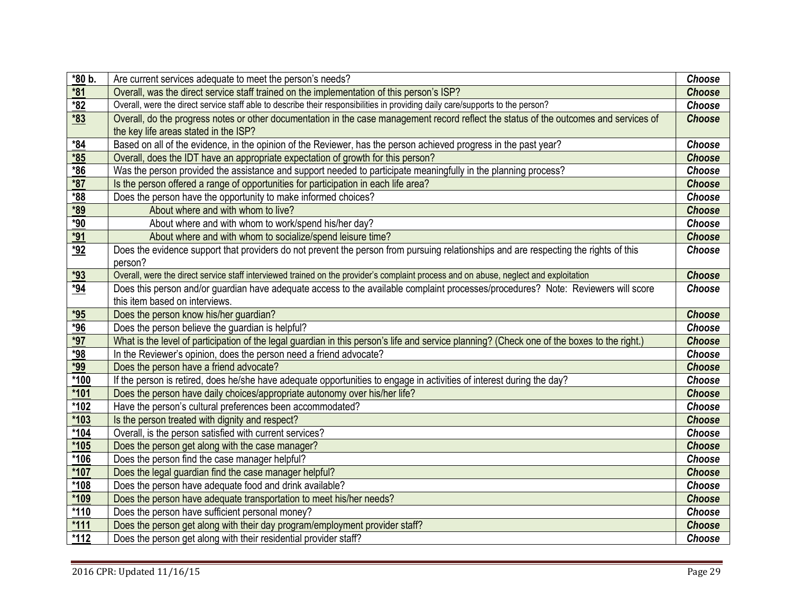| $*80 b.$   | Are current services adequate to meet the person's needs?                                                                                   | Choose        |
|------------|---------------------------------------------------------------------------------------------------------------------------------------------|---------------|
| $*81$      | Overall, was the direct service staff trained on the implementation of this person's ISP?                                                   | <b>Choose</b> |
| $*82$      | Overall, were the direct service staff able to describe their responsibilities in providing daily care/supports to the person?              | <b>Choose</b> |
| $*83$      | Overall, do the progress notes or other documentation in the case management record reflect the status of the outcomes and services of      | <b>Choose</b> |
|            | the key life areas stated in the ISP?                                                                                                       |               |
| $*84$      | Based on all of the evidence, in the opinion of the Reviewer, has the person achieved progress in the past year?                            | Choose        |
| $*85$      | Overall, does the IDT have an appropriate expectation of growth for this person?                                                            | <b>Choose</b> |
| $*86$      | Was the person provided the assistance and support needed to participate meaningfully in the planning process?                              | Choose        |
| $*87$      | Is the person offered a range of opportunities for participation in each life area?                                                         | <b>Choose</b> |
| $*88$      | Does the person have the opportunity to make informed choices?                                                                              | Choose        |
| *89        | About where and with whom to live?                                                                                                          | <b>Choose</b> |
| $*90$      | About where and with whom to work/spend his/her day?                                                                                        | Choose        |
| $*91$      | About where and with whom to socialize/spend leisure time?                                                                                  | <b>Choose</b> |
| *92        | Does the evidence support that providers do not prevent the person from pursuing relationships and are respecting the rights of this        | <b>Choose</b> |
|            | person?                                                                                                                                     |               |
| $*93$      | Overall, were the direct service staff interviewed trained on the provider's complaint process and on abuse, neglect and exploitation       | <b>Choose</b> |
| <u>*94</u> | Does this person and/or guardian have adequate access to the available complaint processes/procedures? Note: Reviewers will score           | <b>Choose</b> |
|            | this item based on interviews.                                                                                                              |               |
| $*95$      | Does the person know his/her guardian?                                                                                                      | <b>Choose</b> |
| $*96$      | Does the person believe the guardian is helpful?                                                                                            | Choose        |
| $*97$      | What is the level of participation of the legal guardian in this person's life and service planning? (Check one of the boxes to the right.) | <b>Choose</b> |
| *98        | In the Reviewer's opinion, does the person need a friend advocate?                                                                          | Choose        |
| $*99$      | Does the person have a friend advocate?                                                                                                     | <b>Choose</b> |
| $*100$     | If the person is retired, does he/she have adequate opportunities to engage in activities of interest during the day?                       | <b>Choose</b> |
| $*101$     | Does the person have daily choices/appropriate autonomy over his/her life?                                                                  | <b>Choose</b> |
| $*102$     | Have the person's cultural preferences been accommodated?                                                                                   | Choose        |
| *103       | Is the person treated with dignity and respect?                                                                                             | <b>Choose</b> |
| *104       | Overall, is the person satisfied with current services?                                                                                     | <b>Choose</b> |
| *105       | Does the person get along with the case manager?                                                                                            | <b>Choose</b> |
| *106       | Does the person find the case manager helpful?                                                                                              | Choose        |
| *107       | Does the legal guardian find the case manager helpful?                                                                                      | <b>Choose</b> |
| *108       | Does the person have adequate food and drink available?                                                                                     | <b>Choose</b> |
| *109       | Does the person have adequate transportation to meet his/her needs?                                                                         | <b>Choose</b> |
| $*110$     | Does the person have sufficient personal money?                                                                                             | Choose        |
| $*111$     | Does the person get along with their day program/employment provider staff?                                                                 | <b>Choose</b> |
| $*112$     | Does the person get along with their residential provider staff?                                                                            | <b>Choose</b> |